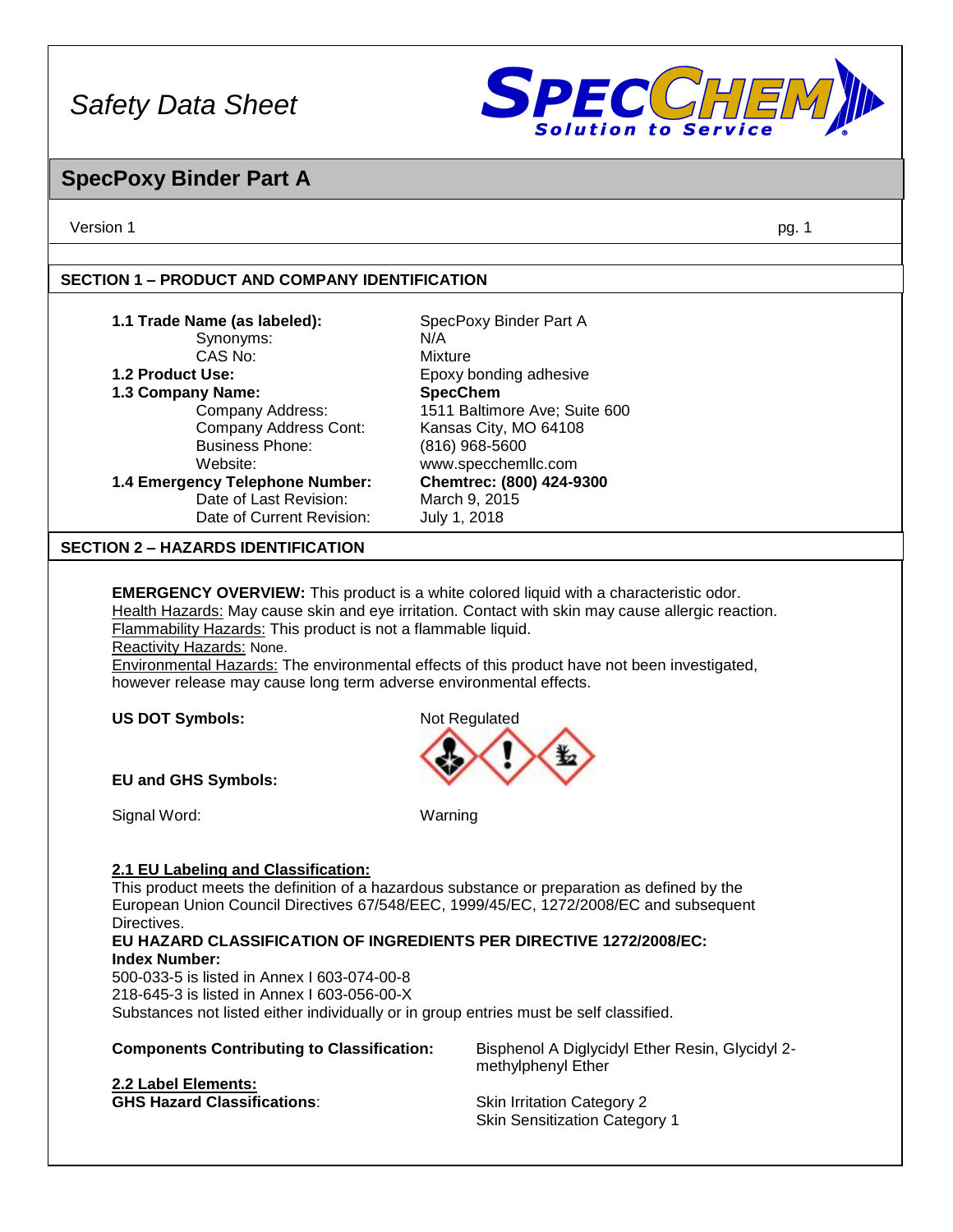

## **SpecPoxy Binder Part A**

Version 1 pg. 1

## **SECTION 1 – PRODUCT AND COMPANY IDENTIFICATION**

| 1.1 Trade Name (as labeled):<br>Synonyms:                                                                                                                                                                                                                                                                                                                                                                                                                              | SpecPoxy Binder Part A<br>N/A |  |
|------------------------------------------------------------------------------------------------------------------------------------------------------------------------------------------------------------------------------------------------------------------------------------------------------------------------------------------------------------------------------------------------------------------------------------------------------------------------|-------------------------------|--|
| CAS No:                                                                                                                                                                                                                                                                                                                                                                                                                                                                | Mixture                       |  |
| 1.2 Product Use:                                                                                                                                                                                                                                                                                                                                                                                                                                                       | Epoxy bonding adhesive        |  |
| 1.3 Company Name:                                                                                                                                                                                                                                                                                                                                                                                                                                                      | <b>SpecChem</b>               |  |
| Company Address:                                                                                                                                                                                                                                                                                                                                                                                                                                                       | 1511 Baltimore Ave; Suite 600 |  |
| Company Address Cont:                                                                                                                                                                                                                                                                                                                                                                                                                                                  | Kansas City, MO 64108         |  |
| <b>Business Phone:</b>                                                                                                                                                                                                                                                                                                                                                                                                                                                 | $(816)$ 968-5600              |  |
| Website:                                                                                                                                                                                                                                                                                                                                                                                                                                                               | www.specchemllc.com           |  |
| 1.4 Emergency Telephone Number:                                                                                                                                                                                                                                                                                                                                                                                                                                        | Chemtrec: (800) 424-9300      |  |
| Date of Last Revision:                                                                                                                                                                                                                                                                                                                                                                                                                                                 | March 9, 2015                 |  |
| Date of Current Revision:                                                                                                                                                                                                                                                                                                                                                                                                                                              | July 1, 2018                  |  |
| <b>SECTION 2 – HAZARDS IDENTIFICATION</b>                                                                                                                                                                                                                                                                                                                                                                                                                              |                               |  |
| <b>EMERGENCY OVERVIEW:</b> This product is a white colored liquid with a characteristic odor.<br>Health Hazards: May cause skin and eye irritation. Contact with skin may cause allergic reaction.<br>Flammability Hazards: This product is not a flammable liquid.<br>Reactivity Hazards: None.<br>Environmental Hazards: The environmental effects of this product have not been investigated,<br>however release may cause long term adverse environmental effects. |                               |  |
| <b>US DOT Symbols:</b>                                                                                                                                                                                                                                                                                                                                                                                                                                                 | Not Regulated                 |  |



Signal Word: Warning

## **2.1 EU Labeling and Classification:**

This product meets the definition of a hazardous substance or preparation as defined by the European Union Council Directives 67/548/EEC, 1999/45/EC, 1272/2008/EC and subsequent Directives.

**EU HAZARD CLASSIFICATION OF INGREDIENTS PER DIRECTIVE 1272/2008/EC: Index Number:**

500-033-5 is listed in Annex I 603-074-00-8 218-645-3 is listed in Annex I 603-056-00-X Substances not listed either individually or in group entries must be self classified.

| <b>Components Contributing to Classification:</b> | Bisphenol A Diglycidyl Ether Resin, Glycidyl 2-<br>methylphenyl Ether |
|---------------------------------------------------|-----------------------------------------------------------------------|
| 2.2 Label Elements:                               | <b>Skin Irritation Category 2</b>                                     |
| <b>GHS Hazard Classifications:</b>                | <b>Skin Sensitization Category 1</b>                                  |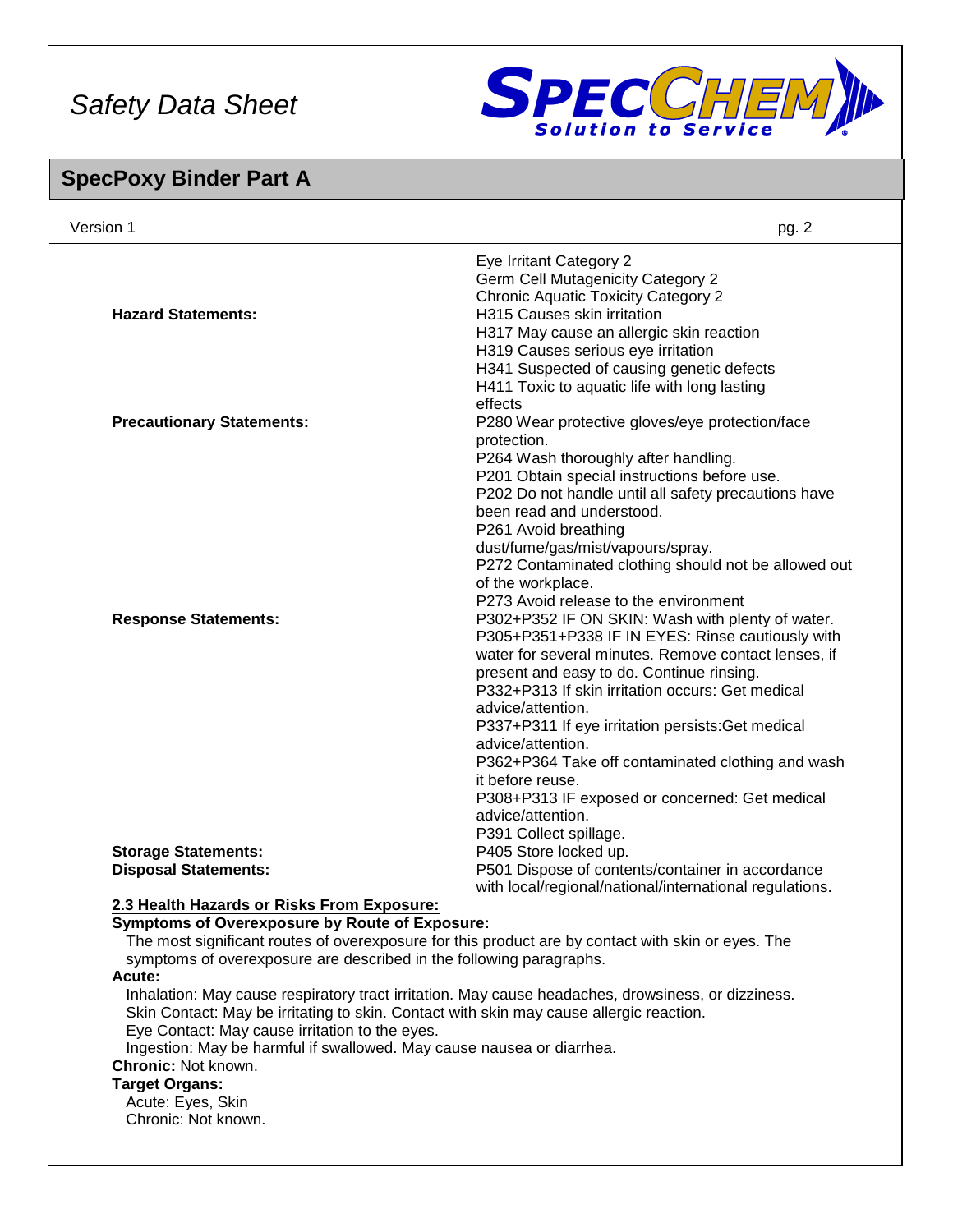

## **SpecPoxy Binder Part A**

| Version 1                                  | pg. 2                                                   |
|--------------------------------------------|---------------------------------------------------------|
|                                            | Eye Irritant Category 2                                 |
|                                            | <b>Germ Cell Mutagenicity Category 2</b>                |
|                                            | <b>Chronic Aquatic Toxicity Category 2</b>              |
| <b>Hazard Statements:</b>                  | H315 Causes skin irritation                             |
|                                            | H317 May cause an allergic skin reaction                |
|                                            | H319 Causes serious eye irritation                      |
|                                            | H341 Suspected of causing genetic defects               |
|                                            | H411 Toxic to aquatic life with long lasting            |
|                                            | effects                                                 |
| <b>Precautionary Statements:</b>           | P280 Wear protective gloves/eye protection/face         |
|                                            | protection.                                             |
|                                            | P264 Wash thoroughly after handling.                    |
|                                            | P201 Obtain special instructions before use.            |
|                                            | P202 Do not handle until all safety precautions have    |
|                                            | been read and understood.                               |
|                                            | P261 Avoid breathing                                    |
|                                            | dust/fume/gas/mist/vapours/spray.                       |
|                                            | P272 Contaminated clothing should not be allowed out    |
|                                            | of the workplace.                                       |
|                                            | P273 Avoid release to the environment                   |
| <b>Response Statements:</b>                | P302+P352 IF ON SKIN: Wash with plenty of water.        |
|                                            | P305+P351+P338 IF IN EYES: Rinse cautiously with        |
|                                            | water for several minutes. Remove contact lenses, if    |
|                                            | present and easy to do. Continue rinsing.               |
|                                            | P332+P313 If skin irritation occurs: Get medical        |
|                                            | advice/attention.                                       |
|                                            | P337+P311 If eye irritation persists: Get medical       |
|                                            | advice/attention.                                       |
|                                            | P362+P364 Take off contaminated clothing and wash       |
|                                            | it before reuse.                                        |
|                                            | P308+P313 IF exposed or concerned: Get medical          |
|                                            | advice/attention.                                       |
|                                            | P391 Collect spillage.                                  |
| <b>Storage Statements:</b>                 | P405 Store locked up.                                   |
| <b>Disposal Statements:</b>                | P501 Dispose of contents/container in accordance        |
|                                            | with local/regional/national/international regulations. |
| 2.3 Health Hazards or Risks From Exposure: |                                                         |

## **Symptoms of Overexposure by Route of Exposure:**

The most significant routes of overexposure for this product are by contact with skin or eyes. The symptoms of overexposure are described in the following paragraphs.

#### **Acute:**

Inhalation: May cause respiratory tract irritation. May cause headaches, drowsiness, or dizziness. Skin Contact: May be irritating to skin. Contact with skin may cause allergic reaction. Eye Contact: May cause irritation to the eyes.

Ingestion: May be harmful if swallowed. May cause nausea or diarrhea.

## **Chronic:** Not known.

#### **Target Organs:**

Acute: Eyes, Skin Chronic: Not known.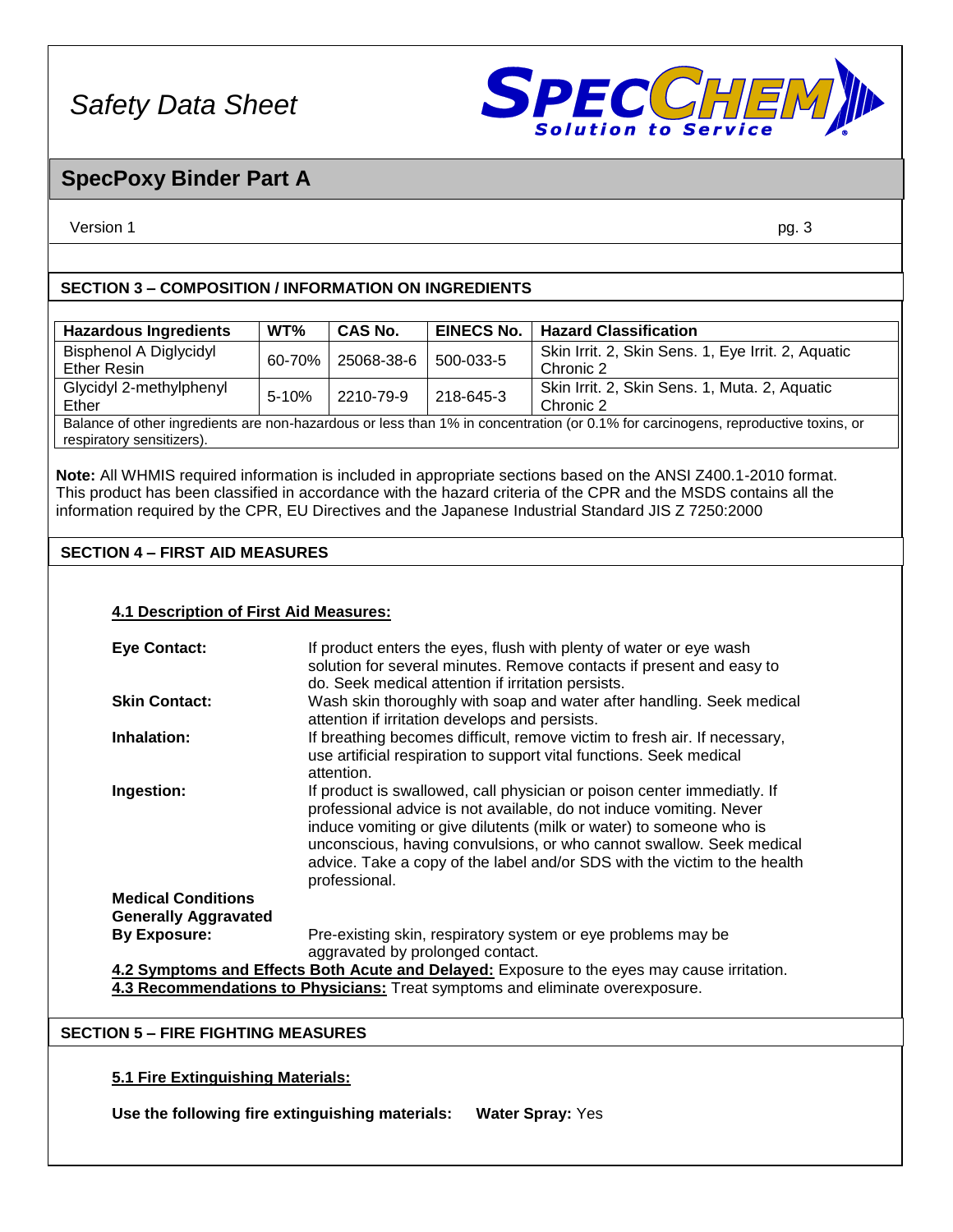

## **SpecPoxy Binder Part A**

Version 1 pg. 3

## **SECTION 3 – COMPOSITION / INFORMATION ON INGREDIENTS**

| <b>Hazardous Ingredients</b>                                                                                                      | WT%       | <b>CAS No.</b> | <b>EINECS No.</b> | <b>Hazard Classification</b>                       |
|-----------------------------------------------------------------------------------------------------------------------------------|-----------|----------------|-------------------|----------------------------------------------------|
| <b>Bisphenol A Diglycidyl</b>                                                                                                     | 60-70%    | 25068-38-6     | 500-033-5         | Skin Irrit. 2, Skin Sens. 1, Eye Irrit. 2, Aquatic |
| <b>Ether Resin</b>                                                                                                                |           |                |                   | Chronic 2                                          |
| Glycidyl 2-methylphenyl                                                                                                           | $5 - 10%$ | 2210-79-9      | 218-645-3         | Skin Irrit. 2, Skin Sens. 1, Muta. 2, Aquatic      |
| Ether                                                                                                                             |           |                |                   | Chronic 2                                          |
| Balance of other ingredients are non-hazardous or less than 1% in concentration (or 0.1% for carcinogens, reproductive toxins, or |           |                |                   |                                                    |
| respiratory sensitizers).                                                                                                         |           |                |                   |                                                    |

**Note:** All WHMIS required information is included in appropriate sections based on the ANSI Z400.1-2010 format. This product has been classified in accordance with the hazard criteria of the CPR and the MSDS contains all the information required by the CPR, EU Directives and the Japanese Industrial Standard JIS Z 7250:2000

## **SECTION 4 – FIRST AID MEASURES**

#### **4.1 Description of First Aid Measures:**

| <b>Eye Contact:</b>         | If product enters the eyes, flush with plenty of water or eye wash<br>solution for several minutes. Remove contacts if present and easy to                                                                                                                                                                                                                                                  |
|-----------------------------|---------------------------------------------------------------------------------------------------------------------------------------------------------------------------------------------------------------------------------------------------------------------------------------------------------------------------------------------------------------------------------------------|
|                             | do. Seek medical attention if irritation persists.                                                                                                                                                                                                                                                                                                                                          |
| <b>Skin Contact:</b>        | Wash skin thoroughly with soap and water after handling. Seek medical<br>attention if irritation develops and persists.                                                                                                                                                                                                                                                                     |
| Inhalation:                 | If breathing becomes difficult, remove victim to fresh air. If necessary,<br>use artificial respiration to support vital functions. Seek medical<br>attention.                                                                                                                                                                                                                              |
| Ingestion:                  | If product is swallowed, call physician or poison center immediatly. If<br>professional advice is not available, do not induce vomiting. Never<br>induce vomiting or give dilutents (milk or water) to someone who is<br>unconscious, having convulsions, or who cannot swallow. Seek medical<br>advice. Take a copy of the label and/or SDS with the victim to the health<br>professional. |
| <b>Medical Conditions</b>   |                                                                                                                                                                                                                                                                                                                                                                                             |
| <b>Generally Aggravated</b> |                                                                                                                                                                                                                                                                                                                                                                                             |
| <b>By Exposure:</b>         | Pre-existing skin, respiratory system or eye problems may be                                                                                                                                                                                                                                                                                                                                |
|                             | aggravated by prolonged contact.                                                                                                                                                                                                                                                                                                                                                            |
|                             | 4.2 Symptoms and Effects Both Acute and Delayed: Exposure to the eyes may cause irritation.                                                                                                                                                                                                                                                                                                 |
|                             | 4.3 Recommendations to Physicians: Treat symptoms and eliminate overexposure.                                                                                                                                                                                                                                                                                                               |

#### **SECTION 5 – FIRE FIGHTING MEASURES**

## **5.1 Fire Extinguishing Materials:**

**Use the following fire extinguishing materials: Water Spray:** Yes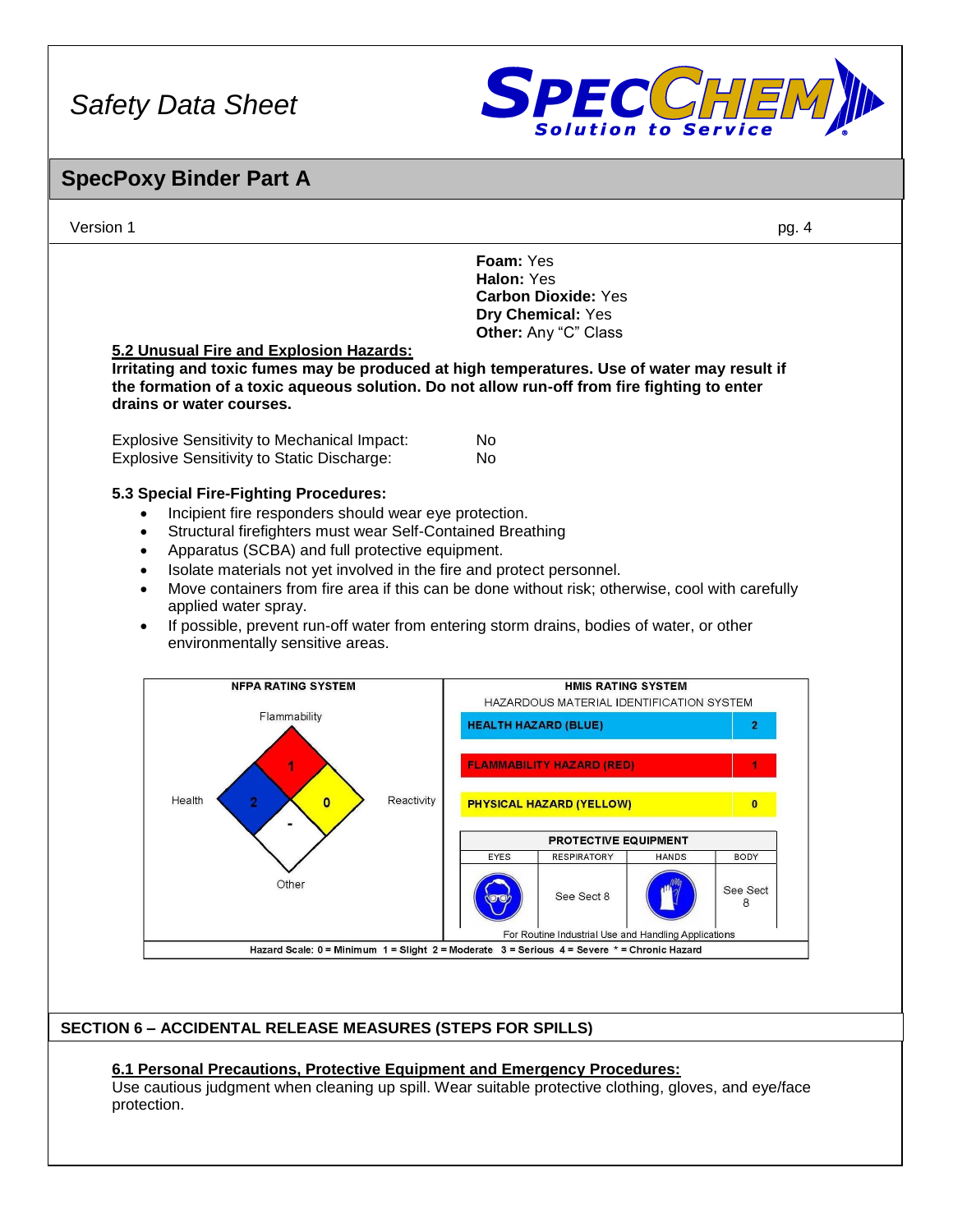

## **SpecPoxy Binder Part A**



## **SECTION 6 – ACCIDENTAL RELEASE MEASURES (STEPS FOR SPILLS)**

## **6.1 Personal Precautions, Protective Equipment and Emergency Procedures:**

Use cautious judgment when cleaning up spill. Wear suitable protective clothing, gloves, and eye/face protection.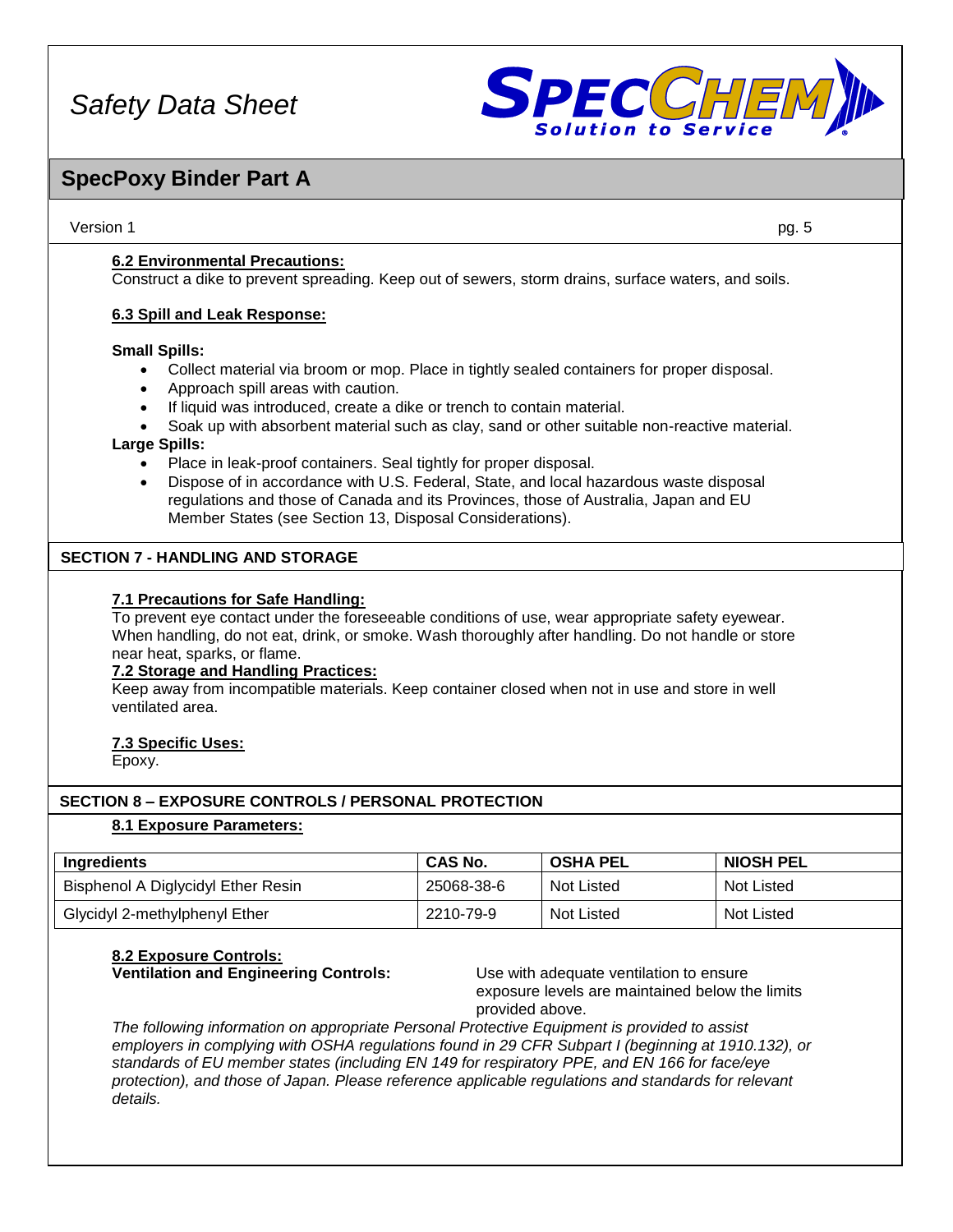

## **SpecPoxy Binder Part A**

Version 1 pg. 5

**6.2 Environmental Precautions:**

Construct a dike to prevent spreading. Keep out of sewers, storm drains, surface waters, and soils.

## **6.3 Spill and Leak Response:**

#### **Small Spills:**

- Collect material via broom or mop. Place in tightly sealed containers for proper disposal.
- Approach spill areas with caution.
- If liquid was introduced, create a dike or trench to contain material.
- Soak up with absorbent material such as clay, sand or other suitable non-reactive material.

#### **Large Spills:**

- Place in leak-proof containers. Seal tightly for proper disposal.
- Dispose of in accordance with U.S. Federal, State, and local hazardous waste disposal regulations and those of Canada and its Provinces, those of Australia, Japan and EU Member States (see Section 13, Disposal Considerations).

## **SECTION 7 - HANDLING AND STORAGE**

#### **7.1 Precautions for Safe Handling:**

To prevent eye contact under the foreseeable conditions of use, wear appropriate safety eyewear. When handling, do not eat, drink, or smoke. Wash thoroughly after handling. Do not handle or store near heat, sparks, or flame.

#### **7.2 Storage and Handling Practices:**

Keep away from incompatible materials. Keep container closed when not in use and store in well ventilated area.

#### **7.3 Specific Uses:**

Epoxy.

## **SECTION 8 – EXPOSURE CONTROLS / PERSONAL PROTECTION**

#### **8.1 Exposure Parameters:**

| Ingredients                        | <b>CAS No.</b> | <b>OSHA PEL</b> | <b>NIOSH PEL</b>  |
|------------------------------------|----------------|-----------------|-------------------|
| Bisphenol A Diglycidyl Ether Resin | 25068-38-6     | Not Listed      | <b>Not Listed</b> |
| Glycidyl 2-methylphenyl Ether      | 2210-79-9      | Not Listed      | <b>Not Listed</b> |

## **8.2 Exposure Controls:**

**Ventilation and Engineering Controls:** Use with adequate ventilation to ensure exposure levels are maintained below the limits provided above.

*The following information on appropriate Personal Protective Equipment is provided to assist employers in complying with OSHA regulations found in 29 CFR Subpart I (beginning at 1910.132), or standards of EU member states (including EN 149 for respiratory PPE, and EN 166 for face/eye protection), and those of Japan. Please reference applicable regulations and standards for relevant details.*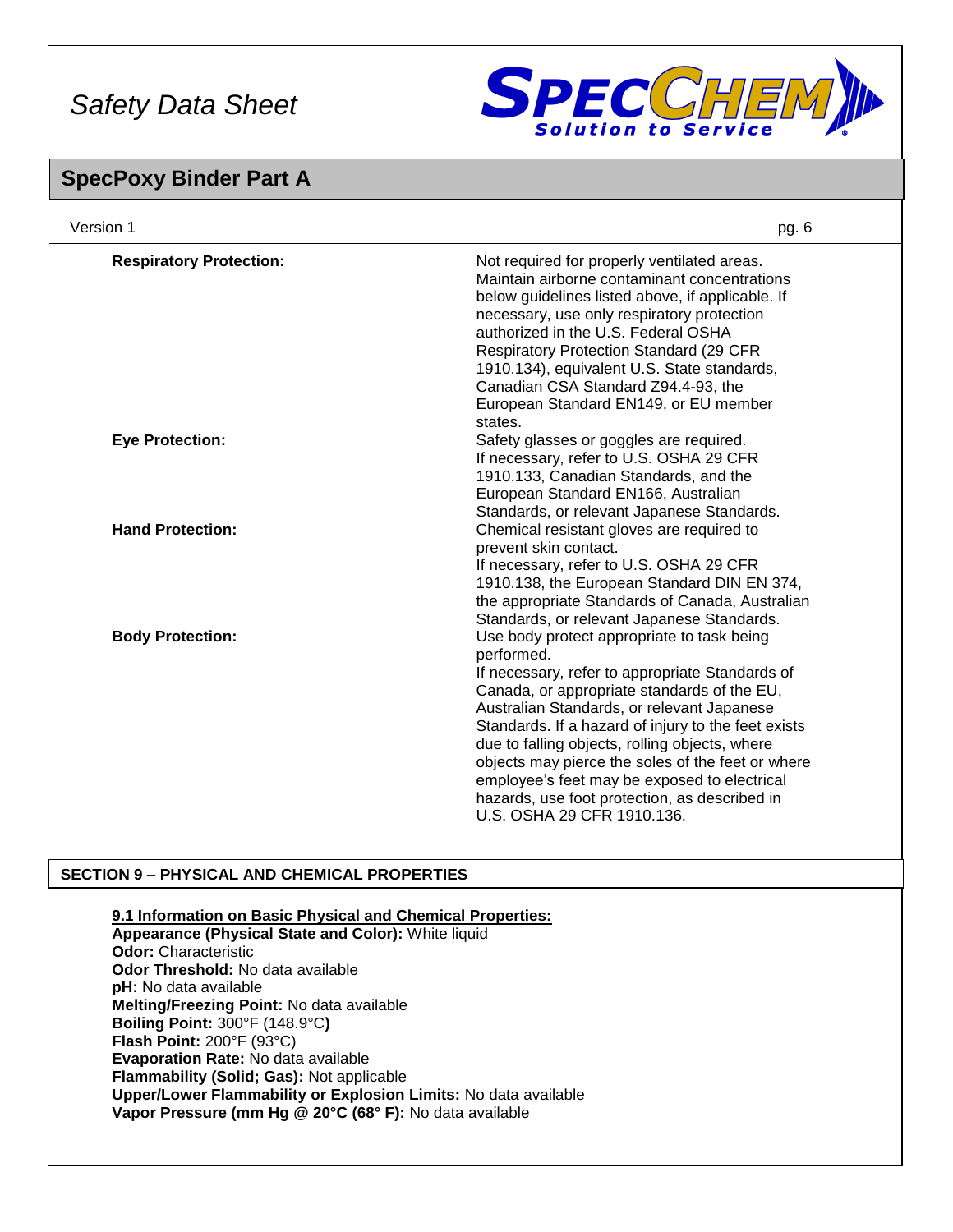

## **SpecPoxy Binder Part A**

| Version 1                      | pg. 6                                                                                                                                                                                                                                                                                                                                                                                                                                                                                                 |
|--------------------------------|-------------------------------------------------------------------------------------------------------------------------------------------------------------------------------------------------------------------------------------------------------------------------------------------------------------------------------------------------------------------------------------------------------------------------------------------------------------------------------------------------------|
| <b>Respiratory Protection:</b> | Not required for properly ventilated areas.<br>Maintain airborne contaminant concentrations<br>below guidelines listed above, if applicable. If<br>necessary, use only respiratory protection<br>authorized in the U.S. Federal OSHA<br><b>Respiratory Protection Standard (29 CFR)</b><br>1910.134), equivalent U.S. State standards,<br>Canadian CSA Standard Z94.4-93, the<br>European Standard EN149, or EU member<br>states.                                                                     |
| <b>Eye Protection:</b>         | Safety glasses or goggles are required.<br>If necessary, refer to U.S. OSHA 29 CFR<br>1910.133, Canadian Standards, and the<br>European Standard EN166, Australian<br>Standards, or relevant Japanese Standards.                                                                                                                                                                                                                                                                                      |
| <b>Hand Protection:</b>        | Chemical resistant gloves are required to<br>prevent skin contact.<br>If necessary, refer to U.S. OSHA 29 CFR<br>1910.138, the European Standard DIN EN 374,<br>the appropriate Standards of Canada, Australian<br>Standards, or relevant Japanese Standards.                                                                                                                                                                                                                                         |
| <b>Body Protection:</b>        | Use body protect appropriate to task being<br>performed.<br>If necessary, refer to appropriate Standards of<br>Canada, or appropriate standards of the EU,<br>Australian Standards, or relevant Japanese<br>Standards. If a hazard of injury to the feet exists<br>due to falling objects, rolling objects, where<br>objects may pierce the soles of the feet or where<br>employee's feet may be exposed to electrical<br>hazards, use foot protection, as described in<br>U.S. OSHA 29 CFR 1910.136. |

## **SECTION 9 – PHYSICAL AND CHEMICAL PROPERTIES**

#### **9.1 Information on Basic Physical and Chemical Properties:**

**Appearance (Physical State and Color):** White liquid **Odor:** Characteristic **Odor Threshold:** No data available **pH:** No data available **Melting/Freezing Point:** No data available **Boiling Point:** 300°F (148.9°C**) Flash Point:** 200°F (93°C) **Evaporation Rate:** No data available **Flammability (Solid; Gas):** Not applicable **Upper/Lower Flammability or Explosion Limits:** No data available **Vapor Pressure (mm Hg @ 20°C (68° F):** No data available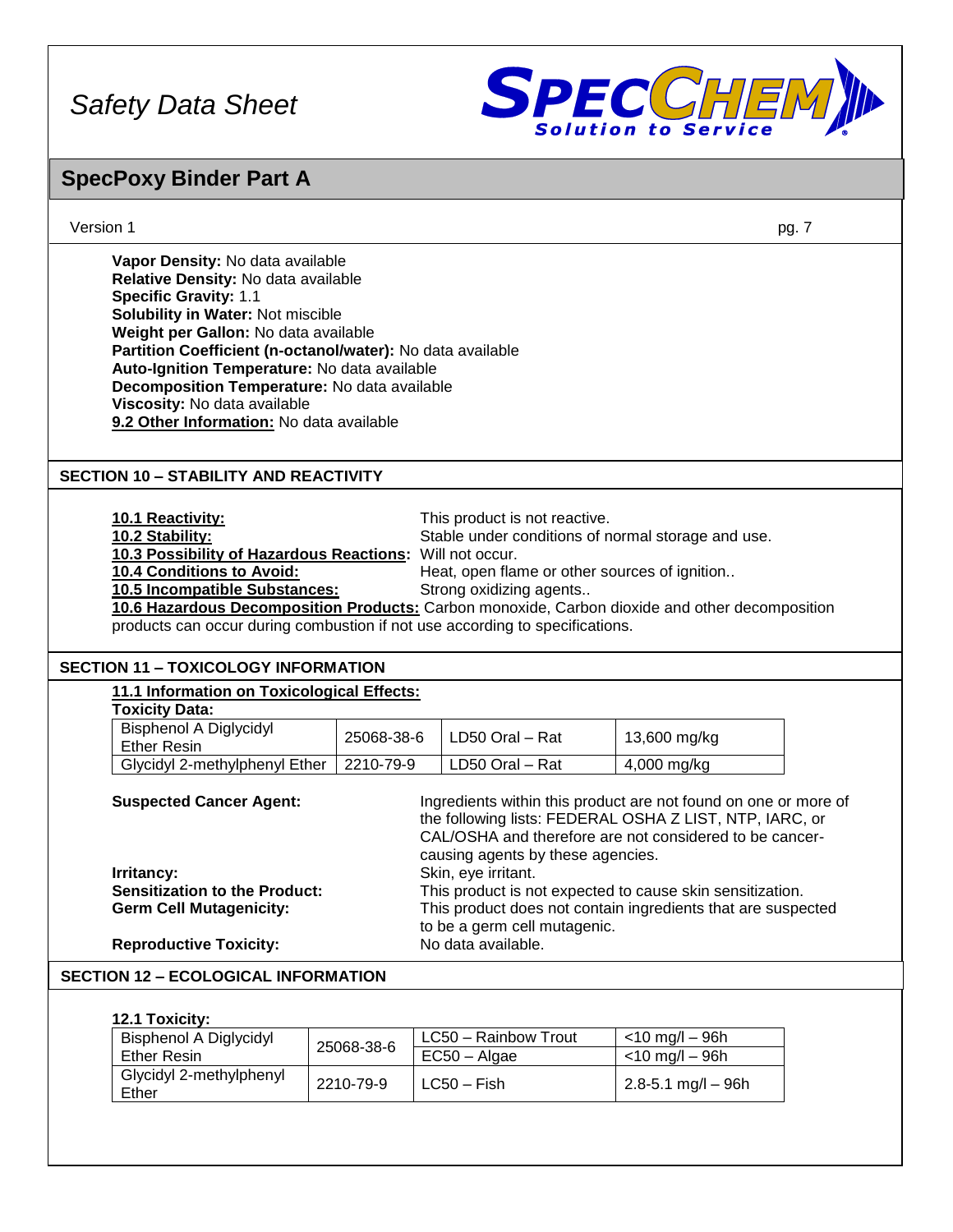

# **SpecPoxy Binder Part A**

| Version 1                                                                                                                                                                                                                                                                                                                                                                                                                      |            |                                                                                                                                                                 | pg. 7                                                                                                                     |
|--------------------------------------------------------------------------------------------------------------------------------------------------------------------------------------------------------------------------------------------------------------------------------------------------------------------------------------------------------------------------------------------------------------------------------|------------|-----------------------------------------------------------------------------------------------------------------------------------------------------------------|---------------------------------------------------------------------------------------------------------------------------|
| Vapor Density: No data available<br>Relative Density: No data available<br><b>Specific Gravity: 1.1</b><br>Solubility in Water: Not miscible<br>Weight per Gallon: No data available<br>Partition Coefficient (n-octanol/water): No data available<br>Auto-Ignition Temperature: No data available<br>Decomposition Temperature: No data available<br>Viscosity: No data available<br>9.2 Other Information: No data available |            |                                                                                                                                                                 |                                                                                                                           |
| <b>SECTION 10 - STABILITY AND REACTIVITY</b>                                                                                                                                                                                                                                                                                                                                                                                   |            |                                                                                                                                                                 |                                                                                                                           |
| 10.1 Reactivity:<br>10.2 Stability:<br>10.3 Possibility of Hazardous Reactions: Will not occur.<br>10.4 Conditions to Avoid:<br>10.5 Incompatible Substances:<br>products can occur during combustion if not use according to specifications.                                                                                                                                                                                  |            | This product is not reactive.<br>Stable under conditions of normal storage and use.<br>Heat, open flame or other sources of ignition<br>Strong oxidizing agents | 10.6 Hazardous Decomposition Products: Carbon monoxide, Carbon dioxide and other decomposition                            |
| <b>SECTION 11 - TOXICOLOGY INFORMATION</b>                                                                                                                                                                                                                                                                                                                                                                                     |            |                                                                                                                                                                 |                                                                                                                           |
| 11.1 Information on Toxicological Effects:<br><b>Toxicity Data:</b>                                                                                                                                                                                                                                                                                                                                                            |            |                                                                                                                                                                 |                                                                                                                           |
| <b>Bisphenol A Diglycidyl</b><br><b>Ether Resin</b>                                                                                                                                                                                                                                                                                                                                                                            | 25068-38-6 | LD50 Oral - Rat                                                                                                                                                 | 13,600 mg/kg                                                                                                              |
| Glycidyl 2-methylphenyl Ether                                                                                                                                                                                                                                                                                                                                                                                                  | 2210-79-9  | LD50 Oral - Rat                                                                                                                                                 | 4,000 mg/kg                                                                                                               |
| <b>Suspected Cancer Agent:</b><br>Ingredients within this product are not found on one or more of<br>the following lists: FEDERAL OSHA Z LIST, NTP, IARC, or<br>CAL/OSHA and therefore are not considered to be cancer-<br>causing agents by these agencies.                                                                                                                                                                   |            |                                                                                                                                                                 |                                                                                                                           |
| Irritancy:                                                                                                                                                                                                                                                                                                                                                                                                                     |            | Skin, eye irritant.                                                                                                                                             |                                                                                                                           |
| <b>Sensitization to the Product:</b><br><b>Germ Cell Mutagenicity:</b>                                                                                                                                                                                                                                                                                                                                                         |            |                                                                                                                                                                 | This product is not expected to cause skin sensitization.<br>This product does not contain ingredients that are suspected |
|                                                                                                                                                                                                                                                                                                                                                                                                                                |            | to be a germ cell mutagenic.                                                                                                                                    |                                                                                                                           |
| <b>Reproductive Toxicity:</b>                                                                                                                                                                                                                                                                                                                                                                                                  |            | No data available.                                                                                                                                              |                                                                                                                           |
| <b>SECTION 12 - ECOLOGICAL INFORMATION</b>                                                                                                                                                                                                                                                                                                                                                                                     |            |                                                                                                                                                                 |                                                                                                                           |
| 12.1 Toxicity:                                                                                                                                                                                                                                                                                                                                                                                                                 |            |                                                                                                                                                                 |                                                                                                                           |

| <b>Bisphenol A Diglycidyl</b>    |            | LC50 - Rainbow Trout | <10 mg/l – 96h          |
|----------------------------------|------------|----------------------|-------------------------|
| Ether Resin                      | 25068-38-6 | $EC50 - Algae$       | $<$ 10 mg/l – 96h       |
| Glycidyl 2-methylphenyl<br>Ether | 2210-79-9  | l LC50 – Fish        | $2.8 - 5.1$ mg/l $-96h$ |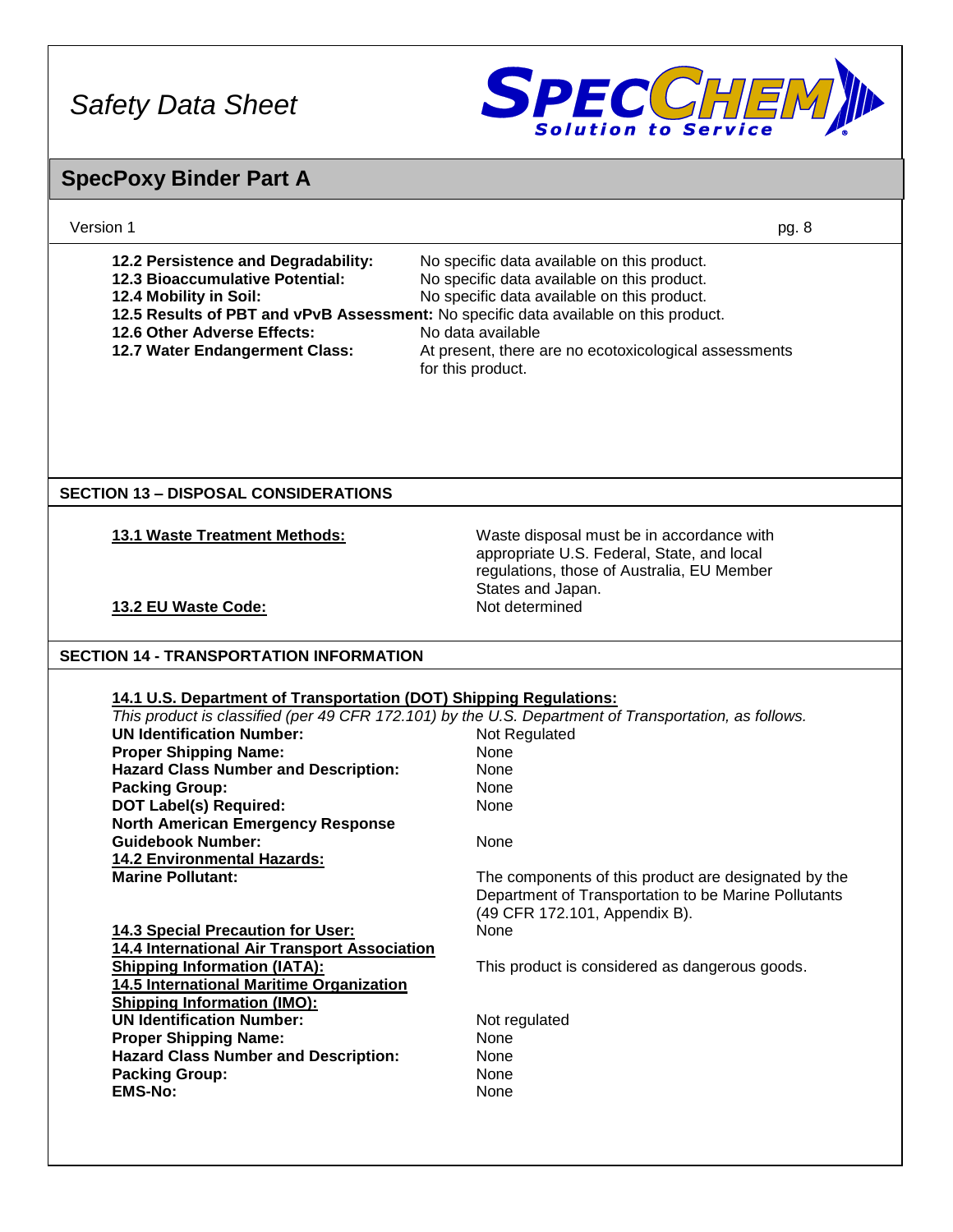

# **SpecPoxy Binder Part A**

| Version 1                                                                                                                                                                                                                                                                                                                                                                                                                                                                                                                                                                                                                                                                                                                                                             | pg. 8                                                                                                                                                                                                                                                                                                                                                                                                                      |
|-----------------------------------------------------------------------------------------------------------------------------------------------------------------------------------------------------------------------------------------------------------------------------------------------------------------------------------------------------------------------------------------------------------------------------------------------------------------------------------------------------------------------------------------------------------------------------------------------------------------------------------------------------------------------------------------------------------------------------------------------------------------------|----------------------------------------------------------------------------------------------------------------------------------------------------------------------------------------------------------------------------------------------------------------------------------------------------------------------------------------------------------------------------------------------------------------------------|
| 12.2 Persistence and Degradability:<br><b>12.3 Bioaccumulative Potential:</b><br>12.4 Mobility in Soil:<br>12.5 Results of PBT and vPvB Assessment: No specific data available on this product.<br>12.6 Other Adverse Effects:<br>12.7 Water Endangerment Class:                                                                                                                                                                                                                                                                                                                                                                                                                                                                                                      | No specific data available on this product.<br>No specific data available on this product.<br>No specific data available on this product.<br>No data available<br>At present, there are no ecotoxicological assessments<br>for this product.                                                                                                                                                                               |
| <b>SECTION 13 - DISPOSAL CONSIDERATIONS</b>                                                                                                                                                                                                                                                                                                                                                                                                                                                                                                                                                                                                                                                                                                                           |                                                                                                                                                                                                                                                                                                                                                                                                                            |
| 13.1 Waste Treatment Methods:                                                                                                                                                                                                                                                                                                                                                                                                                                                                                                                                                                                                                                                                                                                                         | Waste disposal must be in accordance with<br>appropriate U.S. Federal, State, and local<br>regulations, those of Australia, EU Member<br>States and Japan.                                                                                                                                                                                                                                                                 |
| 13.2 EU Waste Code:                                                                                                                                                                                                                                                                                                                                                                                                                                                                                                                                                                                                                                                                                                                                                   | Not determined                                                                                                                                                                                                                                                                                                                                                                                                             |
| <b>SECTION 14 - TRANSPORTATION INFORMATION</b>                                                                                                                                                                                                                                                                                                                                                                                                                                                                                                                                                                                                                                                                                                                        |                                                                                                                                                                                                                                                                                                                                                                                                                            |
| 14.1 U.S. Department of Transportation (DOT) Shipping Regulations:<br><b>UN Identification Number:</b><br><b>Proper Shipping Name:</b><br><b>Hazard Class Number and Description:</b><br><b>Packing Group:</b><br><b>DOT Label(s) Required:</b><br><b>North American Emergency Response</b><br><b>Guidebook Number:</b><br><b>14.2 Environmental Hazards:</b><br><b>Marine Pollutant:</b><br>14.3 Special Precaution for User:<br>14.4 International Air Transport Association<br><b>Shipping Information (IATA):</b><br>14.5 International Maritime Organization<br><b>Shipping Information (IMO):</b><br><b>UN Identification Number:</b><br><b>Proper Shipping Name:</b><br><b>Hazard Class Number and Description:</b><br><b>Packing Group:</b><br><b>EMS-No:</b> | This product is classified (per 49 CFR 172.101) by the U.S. Department of Transportation, as follows.<br>Not Regulated<br>None<br>None<br>None<br>None<br>None<br>The components of this product are designated by the<br>Department of Transportation to be Marine Pollutants<br>(49 CFR 172.101, Appendix B).<br>None<br>This product is considered as dangerous goods.<br>Not regulated<br>None<br>None<br>None<br>None |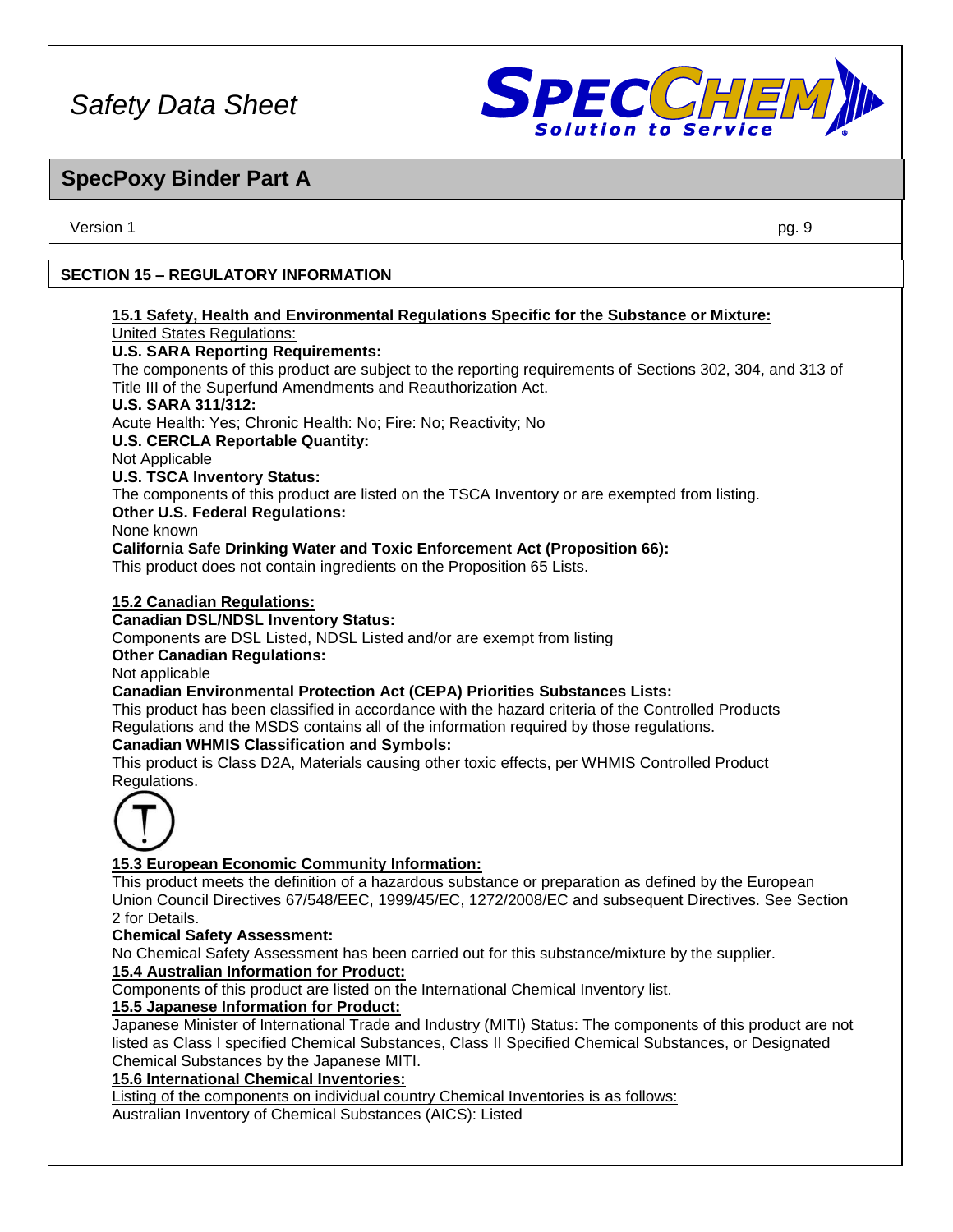

## **SpecPoxy Binder Part A**

Version 1 pg. 9

## **SECTION 15 – REGULATORY INFORMATION**

#### **15.1 Safety, Health and Environmental Regulations Specific for the Substance or Mixture:** United States Regulations:

## **U.S. SARA Reporting Requirements:**

The components of this product are subject to the reporting requirements of Sections 302, 304, and 313 of Title III of the Superfund Amendments and Reauthorization Act.

## **U.S. SARA 311/312:**

Acute Health: Yes; Chronic Health: No; Fire: No; Reactivity; No

## **U.S. CERCLA Reportable Quantity:**

Not Applicable

## **U.S. TSCA Inventory Status:**

The components of this product are listed on the TSCA Inventory or are exempted from listing. **Other U.S. Federal Regulations:**

None known

## **California Safe Drinking Water and Toxic Enforcement Act (Proposition 66):**

This product does not contain ingredients on the Proposition 65 Lists.

## **15.2 Canadian Regulations:**

**Canadian DSL/NDSL Inventory Status:**

Components are DSL Listed, NDSL Listed and/or are exempt from listing

#### **Other Canadian Regulations:**

Not applicable

## **Canadian Environmental Protection Act (CEPA) Priorities Substances Lists:**

This product has been classified in accordance with the hazard criteria of the Controlled Products Regulations and the MSDS contains all of the information required by those regulations.

## **Canadian WHMIS Classification and Symbols:**

This product is Class D2A, Materials causing other toxic effects, per WHMIS Controlled Product Regulations.



## **15.3 European Economic Community Information:**

This product meets the definition of a hazardous substance or preparation as defined by the European Union Council Directives 67/548/EEC, 1999/45/EC, 1272/2008/EC and subsequent Directives. See Section 2 for Details.

## **Chemical Safety Assessment:**

No Chemical Safety Assessment has been carried out for this substance/mixture by the supplier.

## **15.4 Australian Information for Product:**

Components of this product are listed on the International Chemical Inventory list.

## **15.5 Japanese Information for Product:**

Japanese Minister of International Trade and Industry (MITI) Status: The components of this product are not listed as Class I specified Chemical Substances, Class II Specified Chemical Substances, or Designated Chemical Substances by the Japanese MITI.

**15.6 International Chemical Inventories:**

Listing of the components on individual country Chemical Inventories is as follows:

Australian Inventory of Chemical Substances (AICS): Listed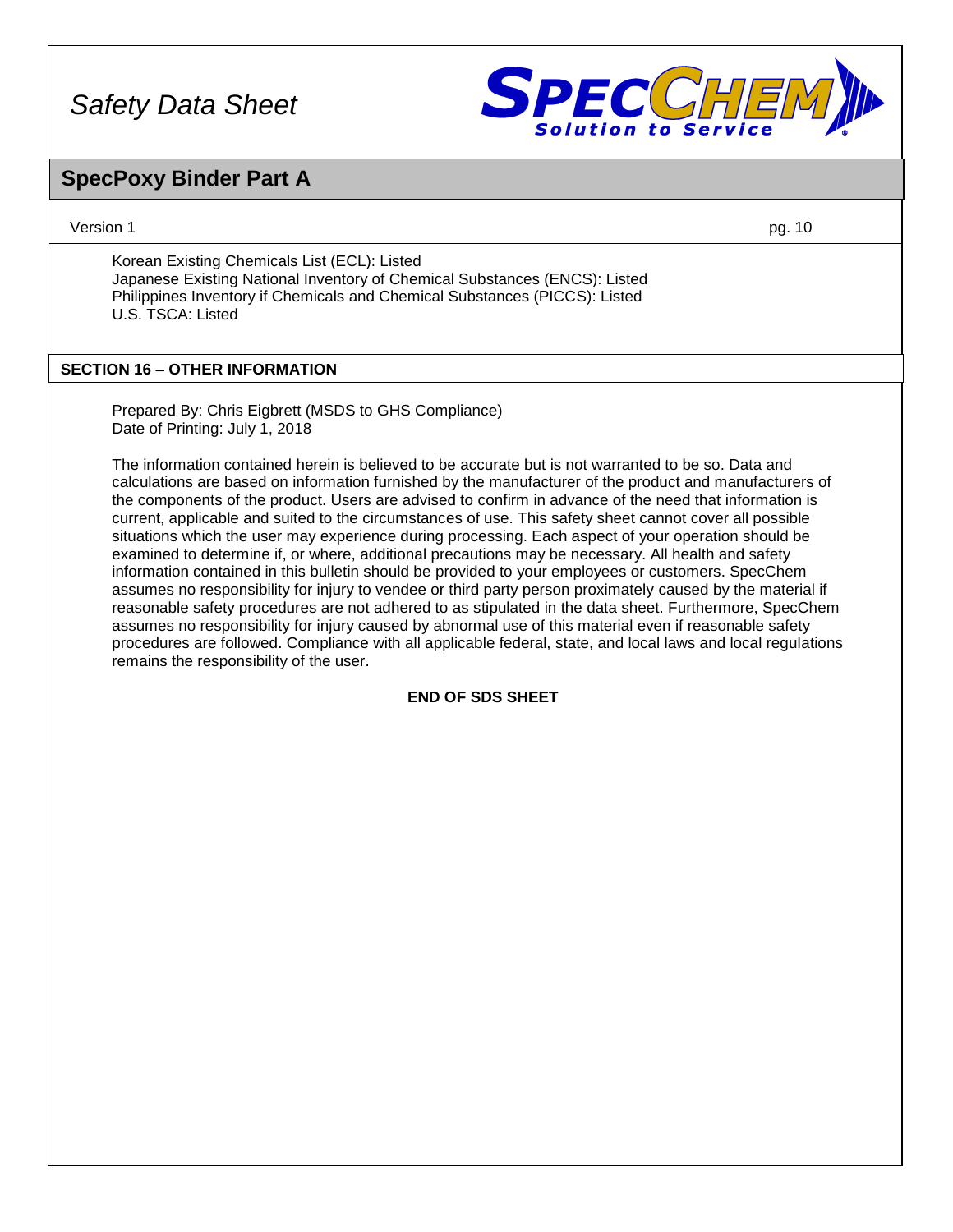

## **SpecPoxy Binder Part A**

Version 1 pg. 10

Korean Existing Chemicals List (ECL): Listed Japanese Existing National Inventory of Chemical Substances (ENCS): Listed Philippines Inventory if Chemicals and Chemical Substances (PICCS): Listed U.S. TSCA: Listed

## **SECTION 16 – OTHER INFORMATION**

Prepared By: Chris Eigbrett (MSDS to GHS Compliance) Date of Printing: July 1, 2018

The information contained herein is believed to be accurate but is not warranted to be so. Data and calculations are based on information furnished by the manufacturer of the product and manufacturers of the components of the product. Users are advised to confirm in advance of the need that information is current, applicable and suited to the circumstances of use. This safety sheet cannot cover all possible situations which the user may experience during processing. Each aspect of your operation should be examined to determine if, or where, additional precautions may be necessary. All health and safety information contained in this bulletin should be provided to your employees or customers. SpecChem assumes no responsibility for injury to vendee or third party person proximately caused by the material if reasonable safety procedures are not adhered to as stipulated in the data sheet. Furthermore, SpecChem assumes no responsibility for injury caused by abnormal use of this material even if reasonable safety procedures are followed. Compliance with all applicable federal, state, and local laws and local regulations remains the responsibility of the user.

## **END OF SDS SHEET**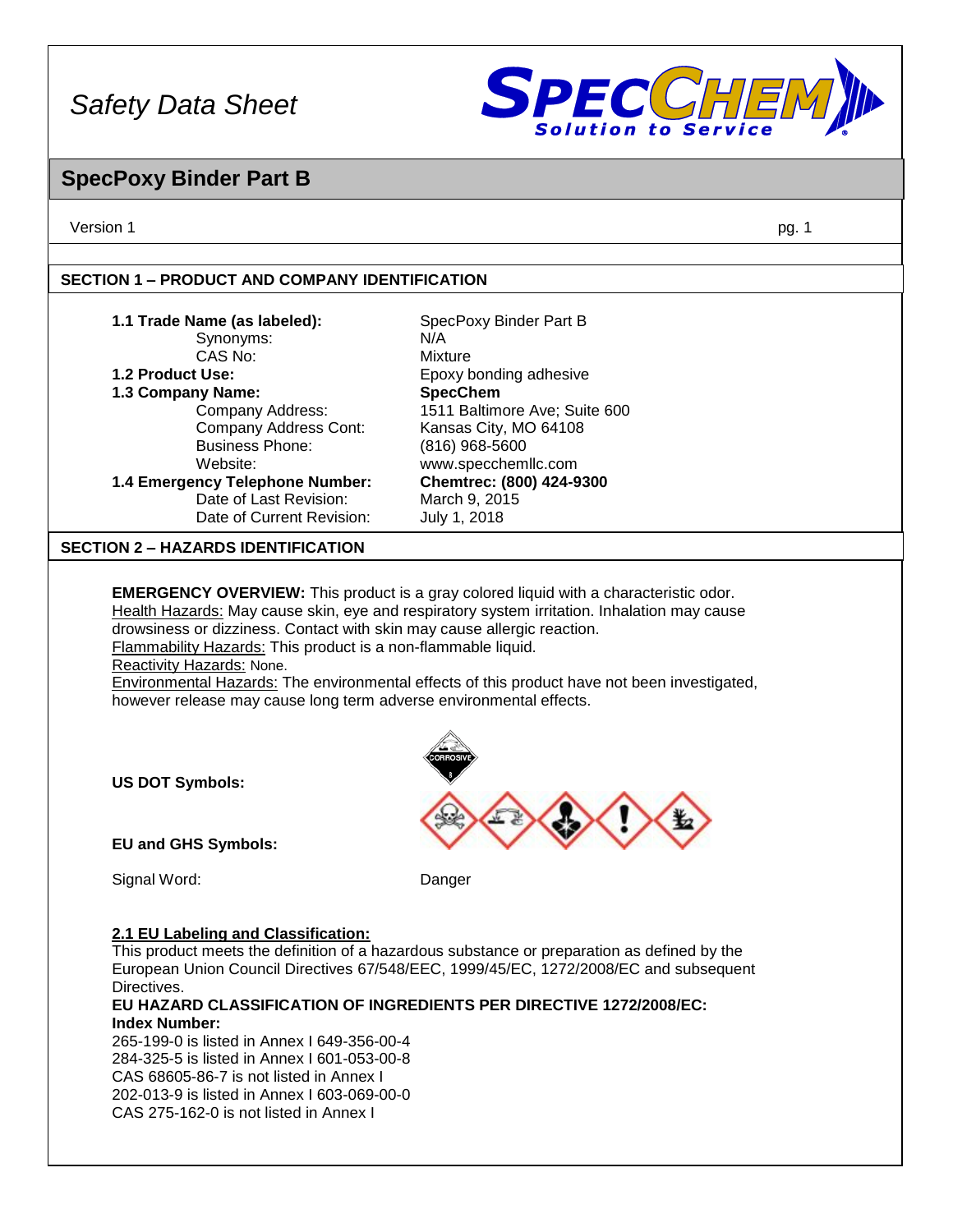

## **SpecPoxy Binder Part B**

Version 1 pg. 1

## **SECTION 1 – PRODUCT AND COMPANY IDENTIFICATION**

| 1.1 Trade Name (as labeled):<br>Synonyms:<br>CAS No:<br>1.2 Product Use:<br>1.3 Company Name:<br>Company Address:<br>Company Address Cont:<br><b>Business Phone:</b><br>Website:<br>1.4 Emergency Telephone Number:                         | SpecPoxy Binder Part B<br>N/A<br><b>Mixture</b><br>Epoxy bonding adhesive<br><b>SpecChem</b><br>1511 Baltimore Ave; Suite 600<br>Kansas City, MO 64108<br>(816) 968-5600<br>www.specchemllc.com<br>Chemtrec: (800) 424-9300                                                                 |
|---------------------------------------------------------------------------------------------------------------------------------------------------------------------------------------------------------------------------------------------|---------------------------------------------------------------------------------------------------------------------------------------------------------------------------------------------------------------------------------------------------------------------------------------------|
| Date of Last Revision:<br>Date of Current Revision:                                                                                                                                                                                         | March 9, 2015<br>July 1, 2018                                                                                                                                                                                                                                                               |
| <b>SECTION 2 - HAZARDS IDENTIFICATION</b>                                                                                                                                                                                                   |                                                                                                                                                                                                                                                                                             |
| drowsiness or dizziness. Contact with skin may cause allergic reaction.<br>Flammability Hazards: This product is a non-flammable liquid.<br>Reactivity Hazards: None.<br>however release may cause long term adverse environmental effects. | <b>EMERGENCY OVERVIEW:</b> This product is a gray colored liquid with a characteristic odor.<br>Health Hazards: May cause skin, eye and respiratory system irritation. Inhalation may cause<br>Environmental Hazards: The environmental effects of this product have not been investigated, |
| <b>US DOT Symbols:</b><br><b>EU and GHS Symbols:</b>                                                                                                                                                                                        |                                                                                                                                                                                                                                                                                             |
| Signal Word:                                                                                                                                                                                                                                | Danger                                                                                                                                                                                                                                                                                      |
| 2.1 EU Labeling and Classification:<br>Directives.<br><b>Index Number:</b><br>265-199-0 is listed in Annex I 649-356-00-4<br>284-325-5 is listed in Annex I 601-053-00-8<br>CAS 68605-86-7 is not listed in Annex I                         | This product meets the definition of a hazardous substance or preparation as defined by the<br>European Union Council Directives 67/548/EEC, 1999/45/EC, 1272/2008/EC and subsequent<br>EU HAZARD CLASSIFICATION OF INGREDIENTS PER DIRECTIVE 1272/2008/EC:                                 |

202-013-9 is listed in Annex I 603-069-00-0

CAS 275-162-0 is not listed in Annex I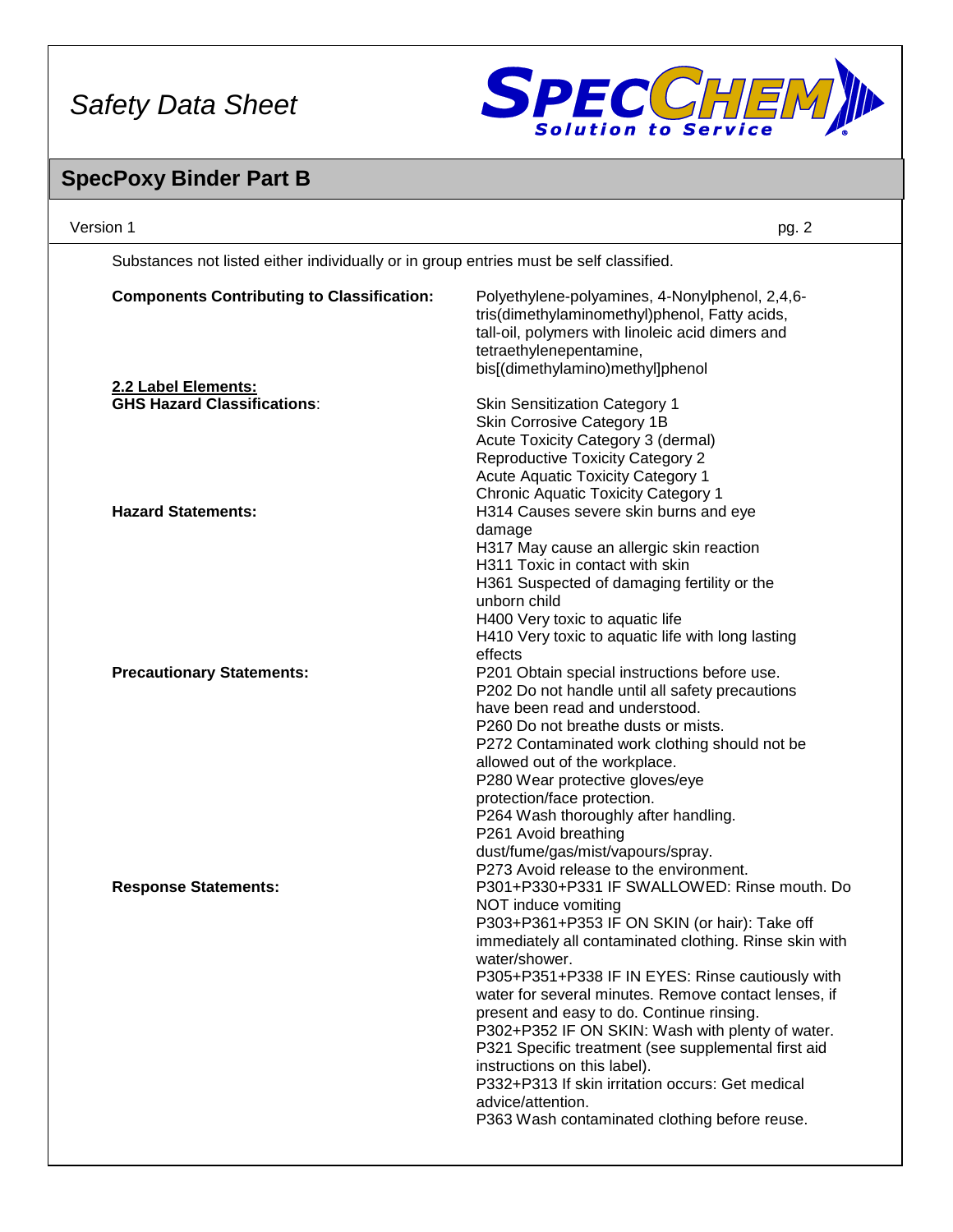

# **SpecPoxy Binder Part B**

| Version 1                                                                              | pg. 2                                                                                                                                                                                                                                                                                                                                                                                                                                                                                                                                                                                                                         |
|----------------------------------------------------------------------------------------|-------------------------------------------------------------------------------------------------------------------------------------------------------------------------------------------------------------------------------------------------------------------------------------------------------------------------------------------------------------------------------------------------------------------------------------------------------------------------------------------------------------------------------------------------------------------------------------------------------------------------------|
| Substances not listed either individually or in group entries must be self classified. |                                                                                                                                                                                                                                                                                                                                                                                                                                                                                                                                                                                                                               |
| <b>Components Contributing to Classification:</b>                                      | Polyethylene-polyamines, 4-Nonylphenol, 2,4,6-<br>tris(dimethylaminomethyl)phenol, Fatty acids,<br>tall-oil, polymers with linoleic acid dimers and<br>tetraethylenepentamine,<br>bis[(dimethylamino)methyl]phenol                                                                                                                                                                                                                                                                                                                                                                                                            |
| 2.2 Label Elements:                                                                    |                                                                                                                                                                                                                                                                                                                                                                                                                                                                                                                                                                                                                               |
| <b>GHS Hazard Classifications:</b>                                                     | <b>Skin Sensitization Category 1</b><br>Skin Corrosive Category 1B<br>Acute Toxicity Category 3 (dermal)<br><b>Reproductive Toxicity Category 2</b><br>Acute Aquatic Toxicity Category 1<br><b>Chronic Aquatic Toxicity Category 1</b>                                                                                                                                                                                                                                                                                                                                                                                        |
| <b>Hazard Statements:</b>                                                              | H314 Causes severe skin burns and eye<br>damage<br>H317 May cause an allergic skin reaction<br>H311 Toxic in contact with skin<br>H361 Suspected of damaging fertility or the<br>unborn child<br>H400 Very toxic to aquatic life<br>H410 Very toxic to aquatic life with long lasting<br>effects                                                                                                                                                                                                                                                                                                                              |
| <b>Precautionary Statements:</b>                                                       | P201 Obtain special instructions before use.<br>P202 Do not handle until all safety precautions<br>have been read and understood.<br>P260 Do not breathe dusts or mists.<br>P272 Contaminated work clothing should not be<br>allowed out of the workplace.<br>P280 Wear protective gloves/eye<br>protection/face protection.<br>P264 Wash thoroughly after handling.<br>P261 Avoid breathing<br>dust/fume/gas/mist/vapours/spray.<br>P273 Avoid release to the environment.                                                                                                                                                   |
| <b>Response Statements:</b>                                                            | P301+P330+P331 IF SWALLOWED: Rinse mouth. Do<br>NOT induce vomiting<br>P303+P361+P353 IF ON SKIN (or hair): Take off<br>immediately all contaminated clothing. Rinse skin with<br>water/shower.<br>P305+P351+P338 IF IN EYES: Rinse cautiously with<br>water for several minutes. Remove contact lenses, if<br>present and easy to do. Continue rinsing.<br>P302+P352 IF ON SKIN: Wash with plenty of water.<br>P321 Specific treatment (see supplemental first aid<br>instructions on this label).<br>P332+P313 If skin irritation occurs: Get medical<br>advice/attention.<br>P363 Wash contaminated clothing before reuse. |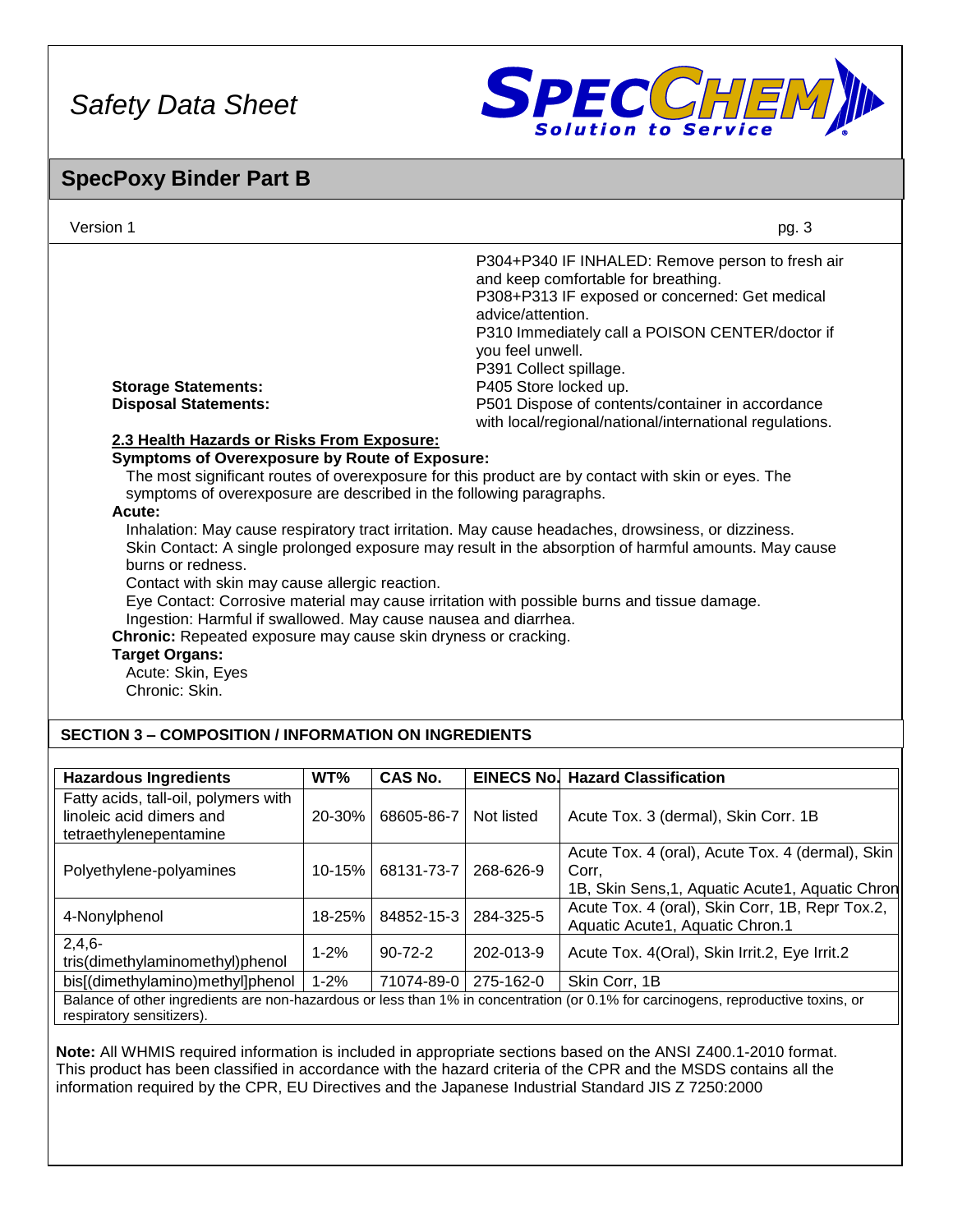

## **SpecPoxy Binder Part B**

| Version 1                                                                                                                                                                                                                                                                                                                                                 |        |            |                                                                                          | pg. 3                                                                                                                                                                                                                                                                                                                                                                                                           |
|-----------------------------------------------------------------------------------------------------------------------------------------------------------------------------------------------------------------------------------------------------------------------------------------------------------------------------------------------------------|--------|------------|------------------------------------------------------------------------------------------|-----------------------------------------------------------------------------------------------------------------------------------------------------------------------------------------------------------------------------------------------------------------------------------------------------------------------------------------------------------------------------------------------------------------|
| <b>Storage Statements:</b><br><b>Disposal Statements:</b><br>2.3 Health Hazards or Risks From Exposure:<br><b>Symptoms of Overexposure by Route of Exposure:</b>                                                                                                                                                                                          |        |            | advice/attention.<br>you feel unwell.<br>P391 Collect spillage.<br>P405 Store locked up. | P304+P340 IF INHALED: Remove person to fresh air<br>and keep comfortable for breathing.<br>P308+P313 IF exposed or concerned: Get medical<br>P310 Immediately call a POISON CENTER/doctor if<br>P501 Dispose of contents/container in accordance<br>with local/regional/national/international regulations.                                                                                                     |
| symptoms of overexposure are described in the following paragraphs.<br>Acute:<br>burns or redness.<br>Contact with skin may cause allergic reaction.<br>Ingestion: Harmful if swallowed. May cause nausea and diarrhea.<br>Chronic: Repeated exposure may cause skin dryness or cracking.<br><b>Target Organs:</b><br>Acute: Skin, Eyes<br>Chronic: Skin. |        |            |                                                                                          | The most significant routes of overexposure for this product are by contact with skin or eyes. The<br>Inhalation: May cause respiratory tract irritation. May cause headaches, drowsiness, or dizziness.<br>Skin Contact: A single prolonged exposure may result in the absorption of harmful amounts. May cause<br>Eye Contact: Corrosive material may cause irritation with possible burns and tissue damage. |
| <b>SECTION 3 - COMPOSITION / INFORMATION ON INGREDIENTS</b>                                                                                                                                                                                                                                                                                               |        |            |                                                                                          |                                                                                                                                                                                                                                                                                                                                                                                                                 |
| <b>Hazardous Ingredients</b>                                                                                                                                                                                                                                                                                                                              | WT%    | CAS No.    |                                                                                          | <b>EINECS No. Hazard Classification</b>                                                                                                                                                                                                                                                                                                                                                                         |
| Fatty acids, tall-oil, polymers with<br>linoleic acid dimers and<br>tetraethylenepentamine                                                                                                                                                                                                                                                                | 20-30% | 68605-86-7 | Not listed                                                                               | Acute Tox. 3 (dermal), Skin Corr. 1B                                                                                                                                                                                                                                                                                                                                                                            |
|                                                                                                                                                                                                                                                                                                                                                           |        |            |                                                                                          | Acute Tox. 4 (oral), Acute Tox. 4 (dermal), Skin                                                                                                                                                                                                                                                                                                                                                                |

| Polyethylene-polyamines                                                                                                                                        |          | 10-15%   68131-73-7   268-626-9 |           | Corr.                                                                              |
|----------------------------------------------------------------------------------------------------------------------------------------------------------------|----------|---------------------------------|-----------|------------------------------------------------------------------------------------|
|                                                                                                                                                                |          |                                 |           | 1B, Skin Sens, 1, Aquatic Acute 1, Aquatic Chron                                   |
| 4-Nonylphenol                                                                                                                                                  | 18-25%   | 84852-15-3 284-325-5            |           | Acute Tox. 4 (oral), Skin Corr, 1B, Repr Tox.2,<br>Aquatic Acute1, Aquatic Chron.1 |
| $2,4,6-$<br>tris(dimethylaminomethyl)phenol                                                                                                                    | $1 - 2%$ | $90 - 72 - 2$                   | 202-013-9 | Acute Tox. 4(Oral), Skin Irrit.2, Eye Irrit.2                                      |
| bis[(dimethylamino)methyl]phenol                                                                                                                               | $1 - 2%$ | 71074-89-0   275-162-0          |           | Skin Corr, 1B                                                                      |
| Balance of other ingredients are non-hazardous or less than 1% in concentration (or 0.1% for carcinogens, reproductive toxins, or<br>respiratory sensitizers). |          |                                 |           |                                                                                    |
|                                                                                                                                                                |          |                                 |           |                                                                                    |

**Note:** All WHMIS required information is included in appropriate sections based on the ANSI Z400.1-2010 format. This product has been classified in accordance with the hazard criteria of the CPR and the MSDS contains all the information required by the CPR, EU Directives and the Japanese Industrial Standard JIS Z 7250:2000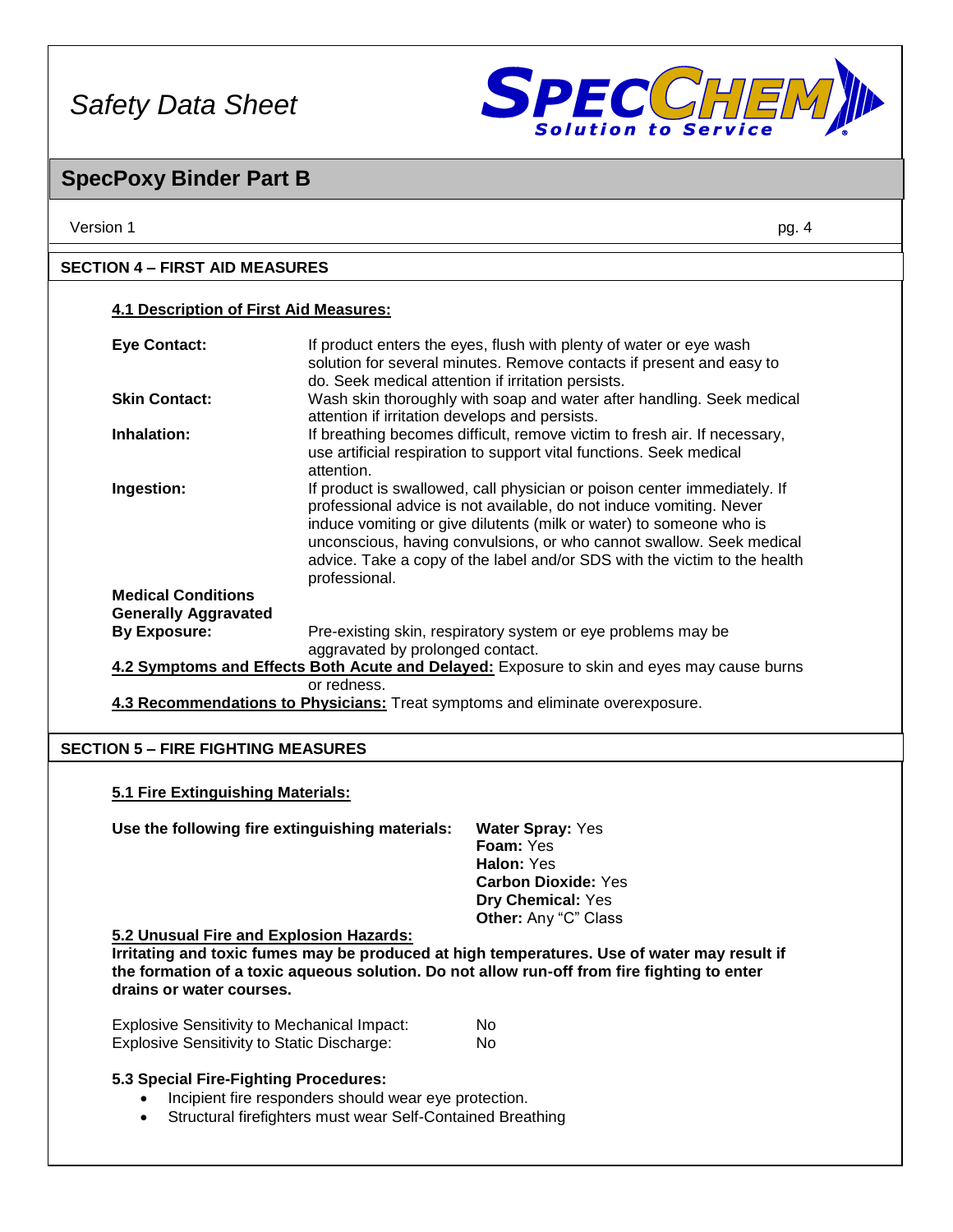

## **SpecPoxy Binder Part B**

| <b>4.1 Description of First Aid Measures:</b> |                                                                                                                                                                                                                                                                                                                                                                                              |  |
|-----------------------------------------------|----------------------------------------------------------------------------------------------------------------------------------------------------------------------------------------------------------------------------------------------------------------------------------------------------------------------------------------------------------------------------------------------|--|
| <b>Eye Contact:</b>                           | If product enters the eyes, flush with plenty of water or eye wash<br>solution for several minutes. Remove contacts if present and easy to<br>do. Seek medical attention if irritation persists.                                                                                                                                                                                             |  |
| <b>Skin Contact:</b>                          | Wash skin thoroughly with soap and water after handling. Seek medical<br>attention if irritation develops and persists.                                                                                                                                                                                                                                                                      |  |
| Inhalation:                                   | If breathing becomes difficult, remove victim to fresh air. If necessary,<br>use artificial respiration to support vital functions. Seek medical<br>attention.                                                                                                                                                                                                                               |  |
| Ingestion:                                    | If product is swallowed, call physician or poison center immediately. If<br>professional advice is not available, do not induce vomiting. Never<br>induce vomiting or give dilutents (milk or water) to someone who is<br>unconscious, having convulsions, or who cannot swallow. Seek medical<br>advice. Take a copy of the label and/or SDS with the victim to the health<br>professional. |  |
| <b>Medical Conditions</b>                     |                                                                                                                                                                                                                                                                                                                                                                                              |  |
| <b>Generally Aggravated</b>                   |                                                                                                                                                                                                                                                                                                                                                                                              |  |
| <b>By Exposure:</b>                           | Pre-existing skin, respiratory system or eye problems may be<br>aggravated by prolonged contact.                                                                                                                                                                                                                                                                                             |  |
|                                               | 4.2 Symptoms and Effects Both Acute and Delayed: Exposure to skin and eyes may cause burns                                                                                                                                                                                                                                                                                                   |  |
|                                               | or redness.<br>4.3 Recommendations to Physicians: Treat symptoms and eliminate overexposure.                                                                                                                                                                                                                                                                                                 |  |

## **SECTION 5 – FIRE FIGHTING MEASURES**

**5.1 Fire Extinguishing Materials:**

| Use the following fire extinguishing materials: | <b>Water Spray: Yes</b>     |
|-------------------------------------------------|-----------------------------|
|                                                 | <b>Foam: Yes</b>            |
|                                                 | Halon: Yes                  |
|                                                 | <b>Carbon Dioxide: Yes</b>  |
|                                                 | <b>Dry Chemical: Yes</b>    |
|                                                 | <b>Other:</b> Any "C" Class |

#### **5.2 Unusual Fire and Explosion Hazards:**

**Irritating and toxic fumes may be produced at high temperatures. Use of water may result if the formation of a toxic aqueous solution. Do not allow run-off from fire fighting to enter drains or water courses.**

| <b>Explosive Sensitivity to Mechanical Impact:</b> | No. |
|----------------------------------------------------|-----|
| <b>Explosive Sensitivity to Static Discharge:</b>  | No. |

## **5.3 Special Fire-Fighting Procedures:**

- Incipient fire responders should wear eye protection.
- Structural firefighters must wear Self-Contained Breathing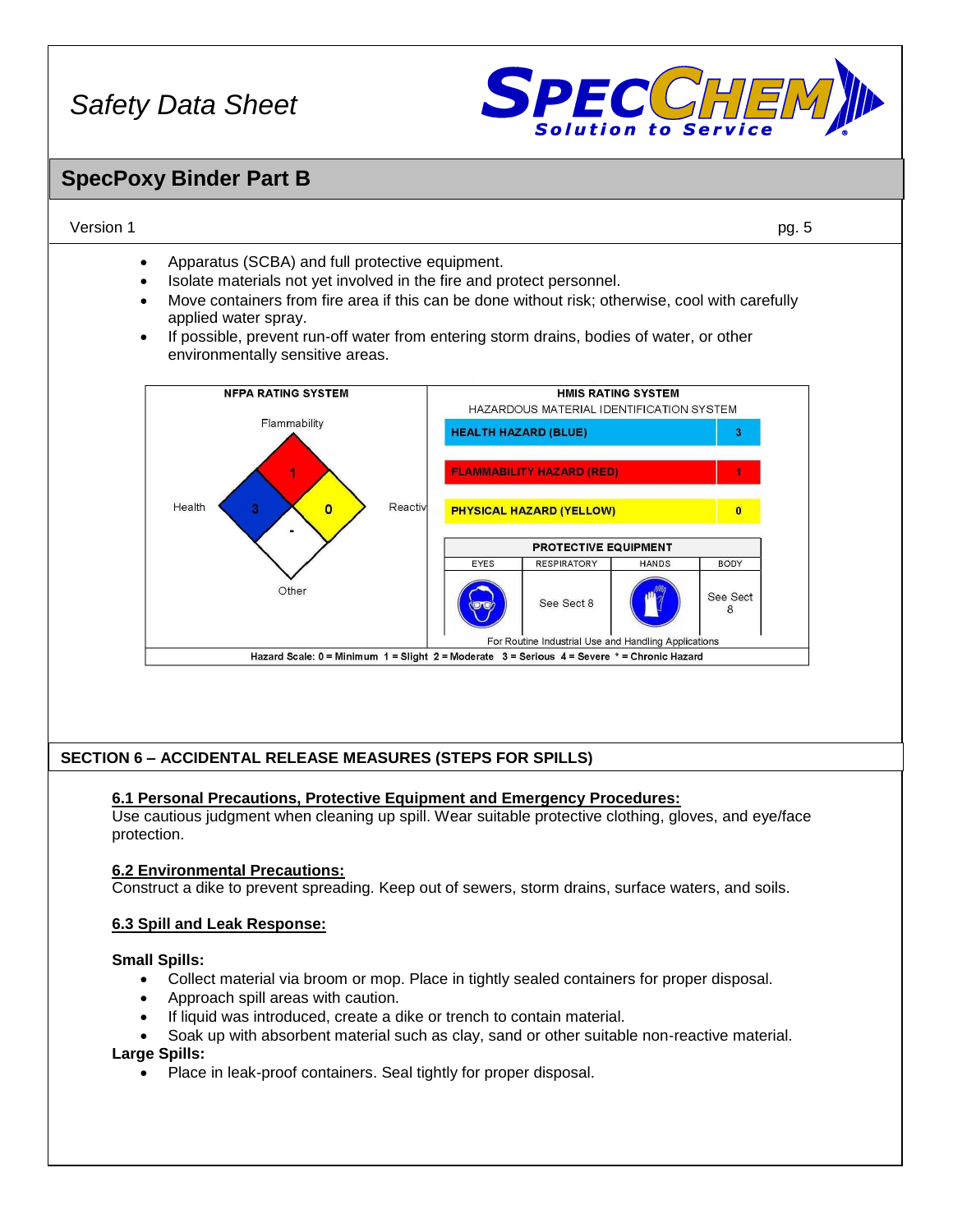

## **SpecPoxy Binder Part B**

## Version 1 pg. 5

- Apparatus (SCBA) and full protective equipment.
- Isolate materials not yet involved in the fire and protect personnel.
- Move containers from fire area if this can be done without risk; otherwise, cool with carefully applied water spray.
- If possible, prevent run-off water from entering storm drains, bodies of water, or other environmentally sensitive areas.



## **SECTION 6 – ACCIDENTAL RELEASE MEASURES (STEPS FOR SPILLS)**

## **6.1 Personal Precautions, Protective Equipment and Emergency Procedures:**

Use cautious judgment when cleaning up spill. Wear suitable protective clothing, gloves, and eye/face protection.

## **6.2 Environmental Precautions:**

Construct a dike to prevent spreading. Keep out of sewers, storm drains, surface waters, and soils.

## **6.3 Spill and Leak Response:**

## **Small Spills:**

- Collect material via broom or mop. Place in tightly sealed containers for proper disposal.
- Approach spill areas with caution.
- If liquid was introduced, create a dike or trench to contain material.
- Soak up with absorbent material such as clay, sand or other suitable non-reactive material.

## **Large Spills:**

Place in leak-proof containers. Seal tightly for proper disposal.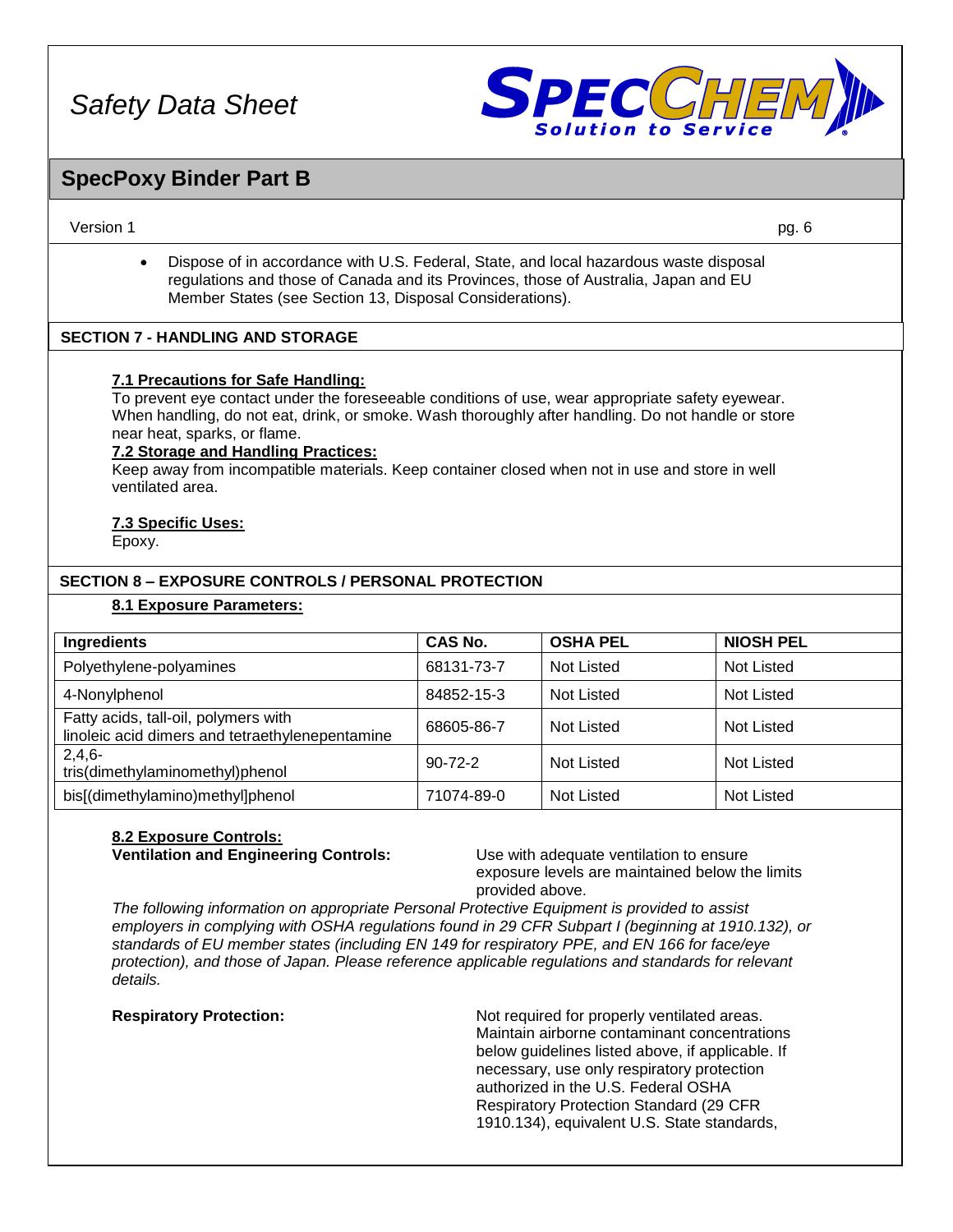

## **SpecPoxy Binder Part B**

Version 1 pg. 6

• Dispose of in accordance with U.S. Federal, State, and local hazardous waste disposal regulations and those of Canada and its Provinces, those of Australia, Japan and EU Member States (see Section 13, Disposal Considerations).

## **SECTION 7 - HANDLING AND STORAGE**

## **7.1 Precautions for Safe Handling:**

To prevent eye contact under the foreseeable conditions of use, wear appropriate safety eyewear. When handling, do not eat, drink, or smoke. Wash thoroughly after handling. Do not handle or store near heat, sparks, or flame.

#### **7.2 Storage and Handling Practices:**

Keep away from incompatible materials. Keep container closed when not in use and store in well ventilated area.

## **7.3 Specific Uses:**

Epoxy.

## **SECTION 8 – EXPOSURE CONTROLS / PERSONAL PROTECTION**

#### **8.1 Exposure Parameters:**

| Ingredients                                                                             | <b>CAS No.</b> | <b>OSHA PEL</b> | <b>NIOSH PEL</b>  |
|-----------------------------------------------------------------------------------------|----------------|-----------------|-------------------|
| Polyethylene-polyamines                                                                 | 68131-73-7     | Not Listed      | <b>Not Listed</b> |
| 4-Nonylphenol                                                                           | 84852-15-3     | Not Listed      | Not Listed        |
| Fatty acids, tall-oil, polymers with<br>linoleic acid dimers and tetraethylenepentamine | 68605-86-7     | Not Listed      | <b>Not Listed</b> |
| $2,4,6-$<br>tris(dimethylaminomethyl)phenol                                             | $90 - 72 - 2$  | Not Listed      | <b>Not Listed</b> |
| bis[(dimethylamino)methyl]phenol                                                        | 71074-89-0     | Not Listed      | <b>Not Listed</b> |

#### **8.2 Exposure Controls: Ventilation and Engineering Controls:** Use with adequate ventilation to ensure

exposure levels are maintained below the limits provided above.

*The following information on appropriate Personal Protective Equipment is provided to assist employers in complying with OSHA regulations found in 29 CFR Subpart I (beginning at 1910.132), or standards of EU member states (including EN 149 for respiratory PPE, and EN 166 for face/eye protection), and those of Japan. Please reference applicable regulations and standards for relevant details.*

**Respiratory Protection:** Not required for properly ventilated areas. Maintain airborne contaminant concentrations below guidelines listed above, if applicable. If necessary, use only respiratory protection authorized in the U.S. Federal OSHA Respiratory Protection Standard (29 CFR 1910.134), equivalent U.S. State standards,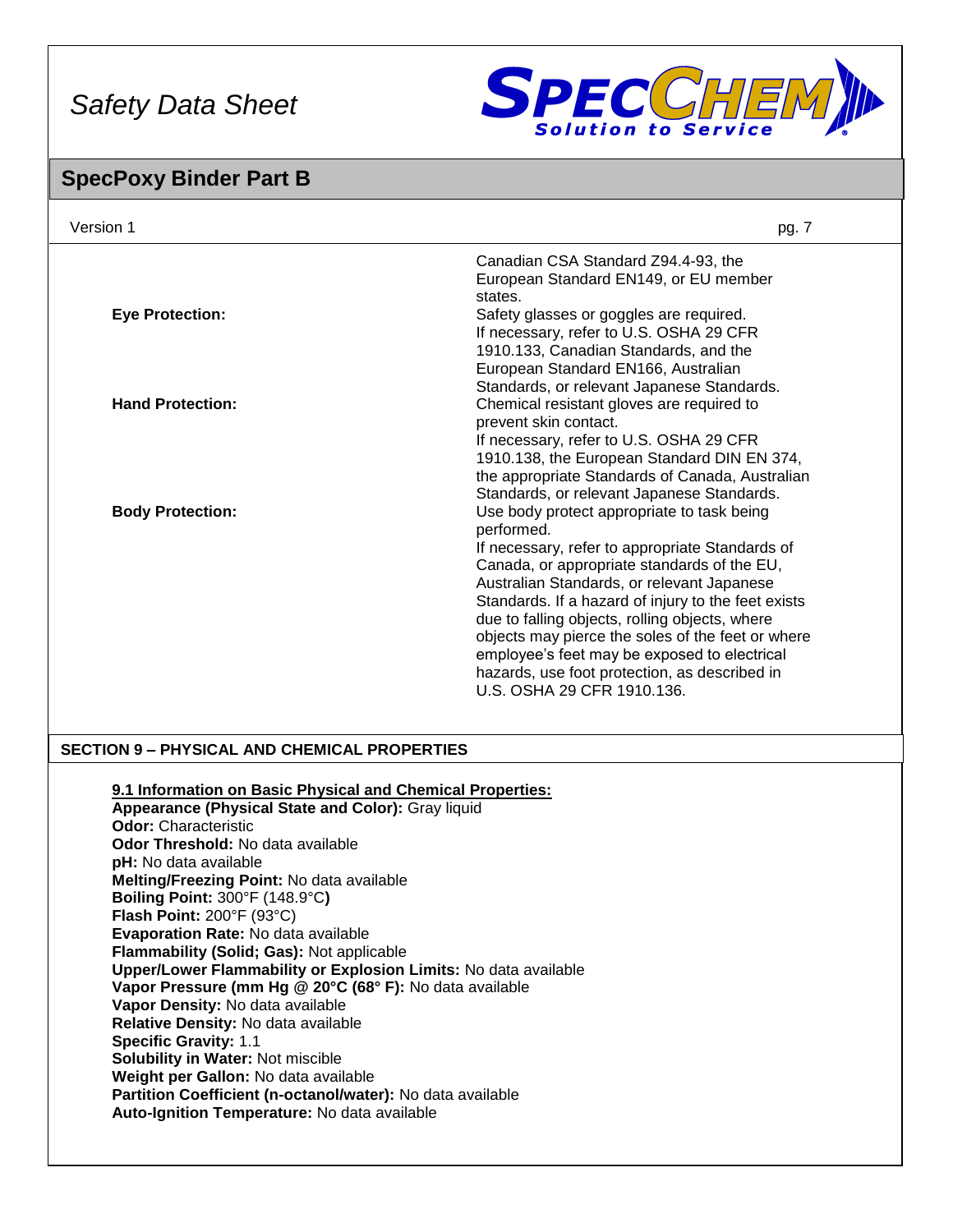

## **SpecPoxy Binder Part B**

| Version 1               | pg. 7                                                                                                                                                                                                                                                                                                                                                                                                                                                                                                 |
|-------------------------|-------------------------------------------------------------------------------------------------------------------------------------------------------------------------------------------------------------------------------------------------------------------------------------------------------------------------------------------------------------------------------------------------------------------------------------------------------------------------------------------------------|
| <b>Eye Protection:</b>  | Canadian CSA Standard Z94.4-93, the<br>European Standard EN149, or EU member<br>states.<br>Safety glasses or goggles are required.<br>If necessary, refer to U.S. OSHA 29 CFR<br>1910.133, Canadian Standards, and the<br>European Standard EN166, Australian                                                                                                                                                                                                                                         |
| <b>Hand Protection:</b> | Standards, or relevant Japanese Standards.<br>Chemical resistant gloves are required to<br>prevent skin contact.<br>If necessary, refer to U.S. OSHA 29 CFR<br>1910.138, the European Standard DIN EN 374,<br>the appropriate Standards of Canada, Australian<br>Standards, or relevant Japanese Standards.                                                                                                                                                                                           |
| <b>Body Protection:</b> | Use body protect appropriate to task being<br>performed.<br>If necessary, refer to appropriate Standards of<br>Canada, or appropriate standards of the EU,<br>Australian Standards, or relevant Japanese<br>Standards. If a hazard of injury to the feet exists<br>due to falling objects, rolling objects, where<br>objects may pierce the soles of the feet or where<br>employee's feet may be exposed to electrical<br>hazards, use foot protection, as described in<br>U.S. OSHA 29 CFR 1910.136. |

## **SECTION 9 – PHYSICAL AND CHEMICAL PROPERTIES**

**9.1 Information on Basic Physical and Chemical Properties:**

**Appearance (Physical State and Color):** Gray liquid **Odor:** Characteristic **Odor Threshold:** No data available **pH:** No data available **Melting/Freezing Point:** No data available **Boiling Point:** 300°F (148.9°C**) Flash Point:** 200°F (93°C) **Evaporation Rate:** No data available **Flammability (Solid; Gas):** Not applicable **Upper/Lower Flammability or Explosion Limits:** No data available **Vapor Pressure (mm Hg @ 20°C (68° F):** No data available **Vapor Density:** No data available **Relative Density:** No data available **Specific Gravity:** 1.1 **Solubility in Water:** Not miscible **Weight per Gallon:** No data available **Partition Coefficient (n-octanol/water):** No data available **Auto-Ignition Temperature:** No data available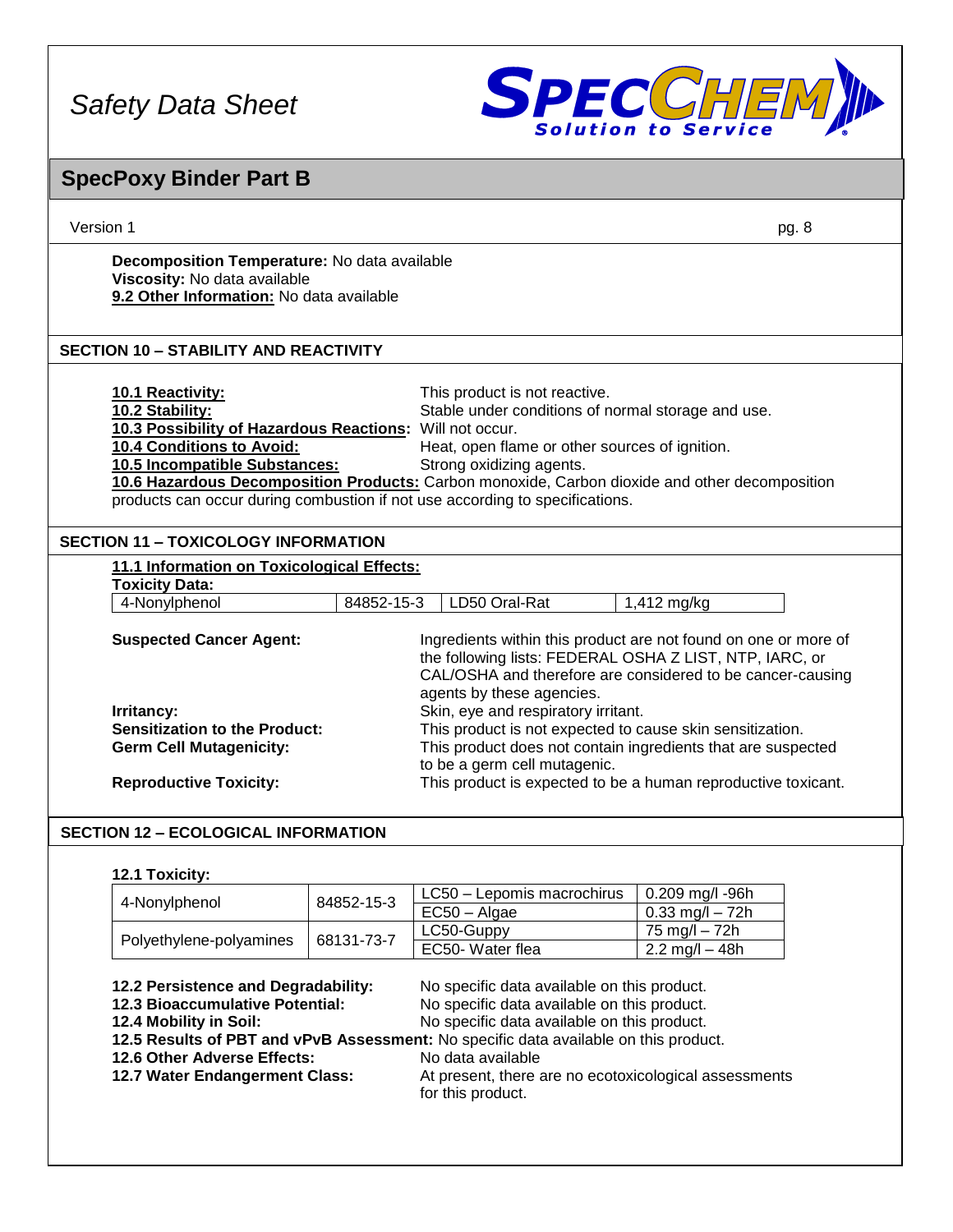

## Version 1 pg. 8 **SpecPoxy Binder Part B Decomposition Temperature:** No data available **Viscosity:** No data available **9.2 Other Information:** No data available **10.1 Reactivity:** This product is not reactive. **10.2 Stability:** Stable under conditions of normal storage and use. **10.3 Possibility of Hazardous Reactions:** Will not occur. Heat, open flame or other sources of ignition. **10.5 Incompatible Substances:** Strong oxidizing agents. **10.6 Hazardous Decomposition Products:** Carbon monoxide, Carbon dioxide and other decomposition products can occur during combustion if not use according to specifications. **11.1 Information on Toxicological Effects: Toxicity Data:** 4-Nonylphenol 84852-15-3 LD50 Oral-Rat 1,412 mg/kg **Suspected Cancer Agent:** Ingredients within this product are not found on one or more of the following lists: FEDERAL OSHA Z LIST, NTP, IARC, or CAL/OSHA and therefore are considered to be cancer-causing agents by these agencies. **Irritancy: Irritancy: Skin, eye and respiratory irritant. Sensitization to the Product:** This product is not expected to cause skin sensitization. **Germ Cell Mutagenicity:** This product does not contain ingredients that are suspected to be a germ cell mutagenic. **Reproductive Toxicity:** This product is expected to be a human reproductive toxicant. **12.1 Toxicity:** 4-Nonylphenol 84852-15-3 LC50 – Lepomis macrochirus  $\vert$  0.209 mg/l -96h  $EC50 - Algae$   $0.33$  mg/l – 72h Polyethylene-polyamines | 68131-73-7  $LC50$ -Guppy 75 mg/l – 72h **SECTION 12 – ECOLOGICAL INFORMATION SECTION 11 – TOXICOLOGY INFORMATION SECTION 10 – STABILITY AND REACTIVITY**

| 12.2 Persistence and Degradability: | No specific data available on this product.                                          |
|-------------------------------------|--------------------------------------------------------------------------------------|
| 12.3 Bioaccumulative Potential:     | No specific data available on this product.                                          |
| 12.4 Mobility in Soil:              | No specific data available on this product.                                          |
|                                     | 12.5 Results of PBT and vPvB Assessment: No specific data available on this product. |
| 12.6 Other Adverse Effects:         | No data available                                                                    |
| 12.7 Water Endangerment Class:      | At present, there are no ecotoxicological assessments                                |
|                                     | for this product.                                                                    |
|                                     |                                                                                      |

EC50- Water flea  $\vert$  2.2 mg/l – 48h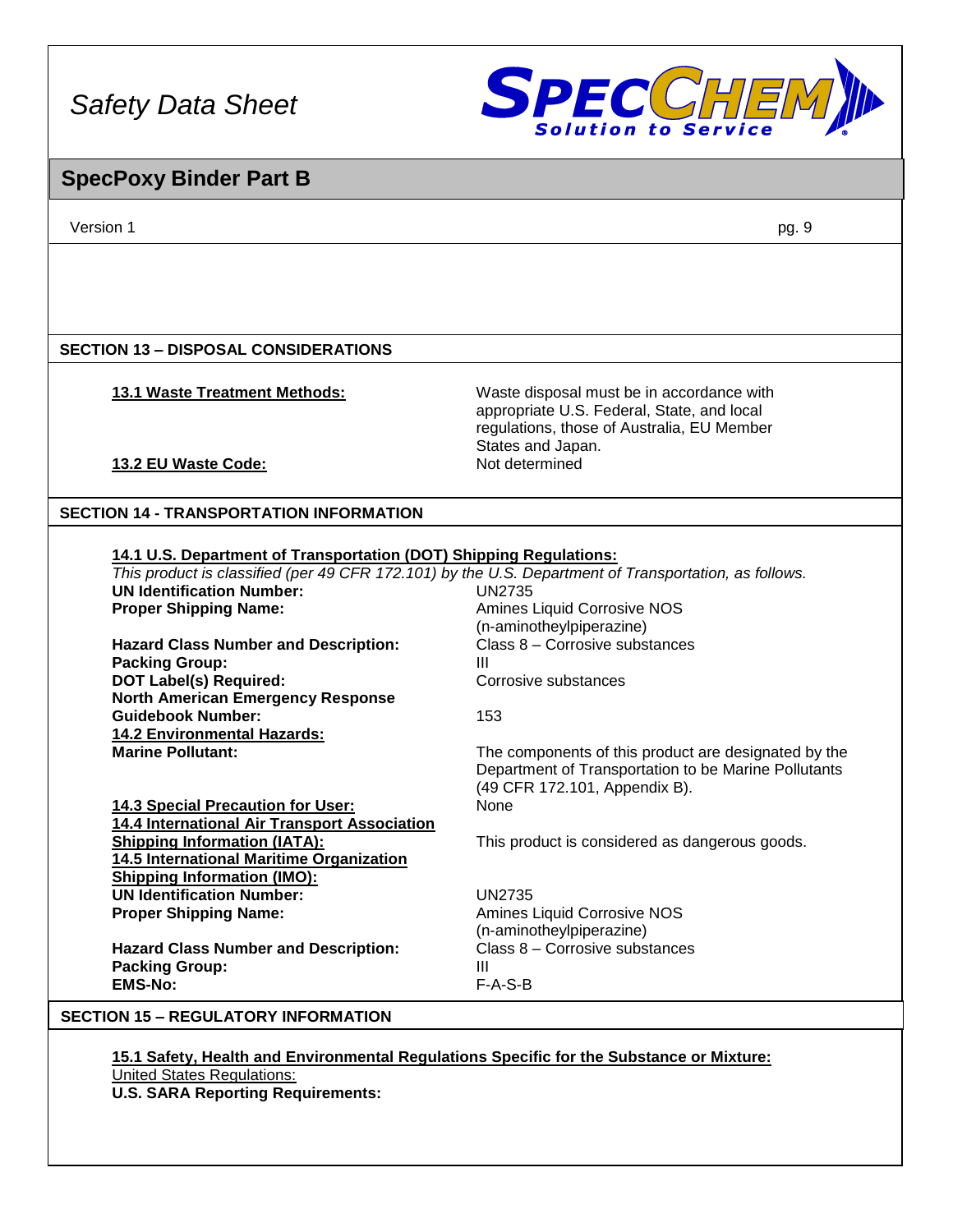

## **SpecPoxy Binder Part B**

Version 1 pg. 9

## **SECTION 13 – DISPOSAL CONSIDERATIONS**

## **13.1 Waste Treatment Methods:** Waste disposal must be in accordance with

**13.2 EU Waste Code:** 

appropriate U.S. Federal, State, and local regulations, those of Australia, EU Member States and Japan.<br>Not determined

## **SECTION 14 - TRANSPORTATION INFORMATION**

|                                              | This product is classified (per 49 CFR 172.101) by the U.S. Department of Transportation, as follows. |
|----------------------------------------------|-------------------------------------------------------------------------------------------------------|
| <b>UN Identification Number:</b>             | UN2735                                                                                                |
| <b>Proper Shipping Name:</b>                 | Amines Liquid Corrosive NOS                                                                           |
|                                              | (n-aminotheylpiperazine)                                                                              |
| <b>Hazard Class Number and Description:</b>  | Class 8 - Corrosive substances                                                                        |
| <b>Packing Group:</b>                        | Ш                                                                                                     |
| <b>DOT Label(s) Required:</b>                | Corrosive substances                                                                                  |
| <b>North American Emergency Response</b>     |                                                                                                       |
| <b>Guidebook Number:</b>                     | 153                                                                                                   |
| <b>14.2 Environmental Hazards:</b>           |                                                                                                       |
| <b>Marine Pollutant:</b>                     | The components of this product are designated by the                                                  |
|                                              | Department of Transportation to be Marine Pollutants                                                  |
|                                              | (49 CFR 172.101, Appendix B).                                                                         |
| <b>14.3 Special Precaution for User:</b>     | <b>None</b>                                                                                           |
| 14.4 International Air Transport Association |                                                                                                       |
| <b>Shipping Information (IATA):</b>          | This product is considered as dangerous goods.                                                        |
| 14.5 International Maritime Organization     |                                                                                                       |
| <b>Shipping Information (IMO):</b>           |                                                                                                       |
| <b>UN Identification Number:</b>             | UN2735                                                                                                |
| <b>Proper Shipping Name:</b>                 | Amines Liquid Corrosive NOS                                                                           |
|                                              | (n-aminotheylpiperazine)                                                                              |
| <b>Hazard Class Number and Description:</b>  | Class 8 – Corrosive substances                                                                        |
| <b>Packing Group:</b>                        | Ш                                                                                                     |
| <b>EMS-No:</b>                               | $F-A-S-B$                                                                                             |

## **SECTION 15 – REGULATORY INFORMATION**

**15.1 Safety, Health and Environmental Regulations Specific for the Substance or Mixture:** United States Regulations: **U.S. SARA Reporting Requirements:**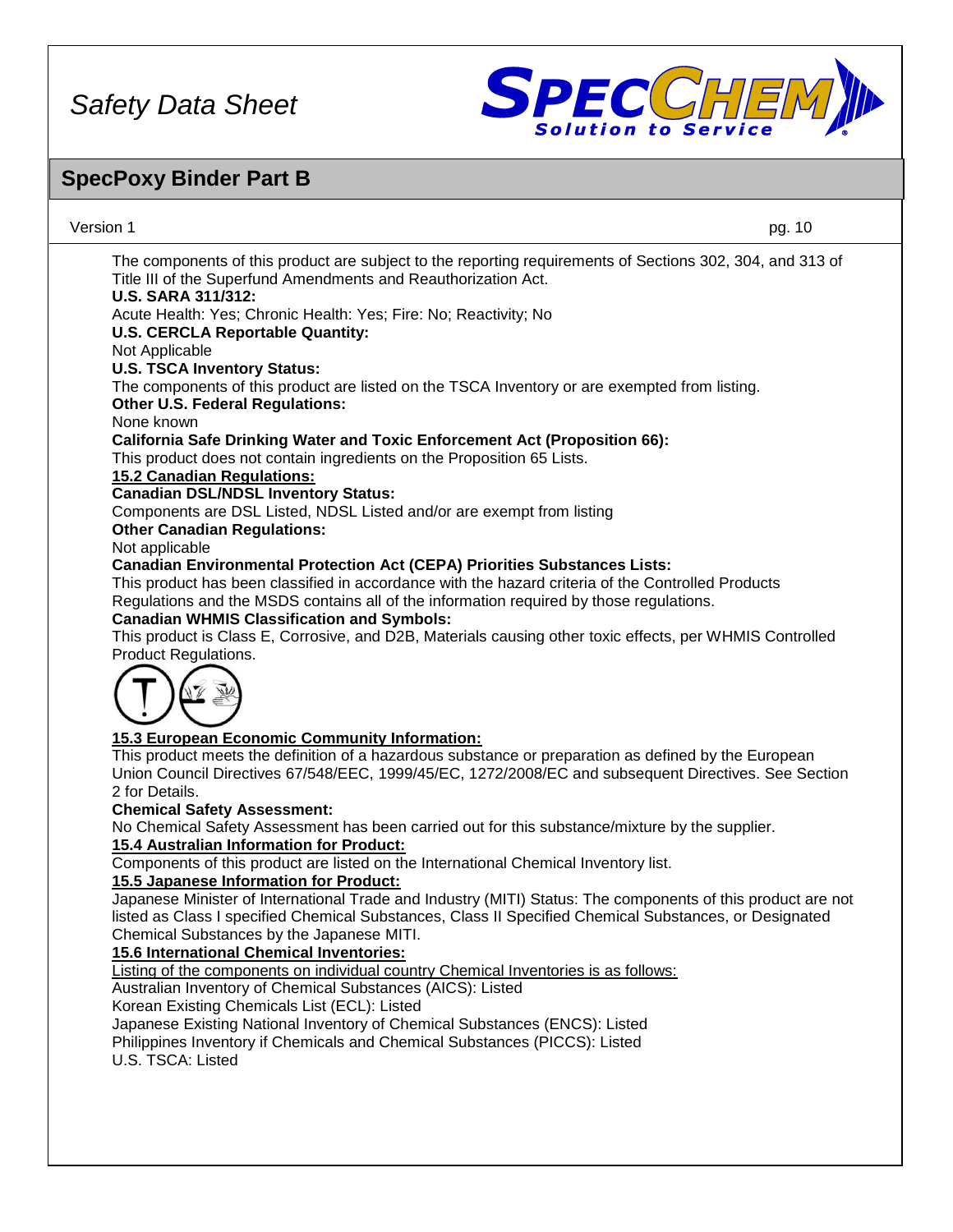

# **SpecPoxy Binder Part B**

| Version 1                                                                                                                                                                                                                      | pg. 10 |  |
|--------------------------------------------------------------------------------------------------------------------------------------------------------------------------------------------------------------------------------|--------|--|
| The components of this product are subject to the reporting requirements of Sections 302, 304, and 313 of<br>Title III of the Superfund Amendments and Reauthorization Act.<br><b>U.S. SARA 311/312:</b>                       |        |  |
| Acute Health: Yes; Chronic Health: Yes; Fire: No; Reactivity; No                                                                                                                                                               |        |  |
| <b>U.S. CERCLA Reportable Quantity:</b>                                                                                                                                                                                        |        |  |
| Not Applicable                                                                                                                                                                                                                 |        |  |
| <b>U.S. TSCA Inventory Status:</b>                                                                                                                                                                                             |        |  |
| The components of this product are listed on the TSCA Inventory or are exempted from listing.                                                                                                                                  |        |  |
| <b>Other U.S. Federal Regulations:</b>                                                                                                                                                                                         |        |  |
| None known                                                                                                                                                                                                                     |        |  |
| <b>California Safe Drinking Water and Toxic Enforcement Act (Proposition 66):</b>                                                                                                                                              |        |  |
| This product does not contain ingredients on the Proposition 65 Lists.                                                                                                                                                         |        |  |
| <b>15.2 Canadian Regulations:</b>                                                                                                                                                                                              |        |  |
| <b>Canadian DSL/NDSL Inventory Status:</b>                                                                                                                                                                                     |        |  |
| Components are DSL Listed, NDSL Listed and/or are exempt from listing                                                                                                                                                          |        |  |
| <b>Other Canadian Regulations:</b>                                                                                                                                                                                             |        |  |
| Not applicable                                                                                                                                                                                                                 |        |  |
| <b>Canadian Environmental Protection Act (CEPA) Priorities Substances Lists:</b>                                                                                                                                               |        |  |
| This product has been classified in accordance with the hazard criteria of the Controlled Products                                                                                                                             |        |  |
| Regulations and the MSDS contains all of the information required by those regulations.                                                                                                                                        |        |  |
| <b>Canadian WHMIS Classification and Symbols:</b>                                                                                                                                                                              |        |  |
| This product is Class E, Corrosive, and D2B, Materials causing other toxic effects, per WHMIS Controlled                                                                                                                       |        |  |
| Product Regulations.                                                                                                                                                                                                           |        |  |
|                                                                                                                                                                                                                                |        |  |
| 15.3 European Economic Community Information:                                                                                                                                                                                  |        |  |
| This product meets the definition of a hazardous substance or preparation as defined by the European<br>Union Council Directives 67/548/EEC, 1999/45/EC, 1272/2008/EC and subsequent Directives. See Section<br>2 for Details. |        |  |
| <b>Chemical Safety Assessment:</b>                                                                                                                                                                                             |        |  |
| No Chemical Safety Assessment has been carried out for this substance/mixture by the supplier.                                                                                                                                 |        |  |
| 15.4 Australian Information for Product:                                                                                                                                                                                       |        |  |
| Components of this product are listed on the International Chemical Inventory list.                                                                                                                                            |        |  |
| 15.5 Japanese Information for Product:                                                                                                                                                                                         |        |  |
| Japanese Minister of International Trade and Industry (MITI) Status: The components of this product are not                                                                                                                    |        |  |
| listed as Class I specified Chemical Substances, Class II Specified Chemical Substances, or Designated                                                                                                                         |        |  |
| Chemical Substances by the Japanese MITI.                                                                                                                                                                                      |        |  |
| <b>15.6 International Chemical Inventories:</b>                                                                                                                                                                                |        |  |
| Listing of the components on individual country Chemical Inventories is as follows:<br>Australian Inventory of Chemical Substances (AICS): Listed                                                                              |        |  |
| Korean Existing Chemicals List (ECL): Listed                                                                                                                                                                                   |        |  |
| Japanese Existing National Inventory of Chemical Substances (ENCS): Listed                                                                                                                                                     |        |  |
| Philippines Inventory if Chemicals and Chemical Substances (PICCS): Listed                                                                                                                                                     |        |  |
|                                                                                                                                                                                                                                |        |  |
| U.S. TSCA: Listed                                                                                                                                                                                                              |        |  |